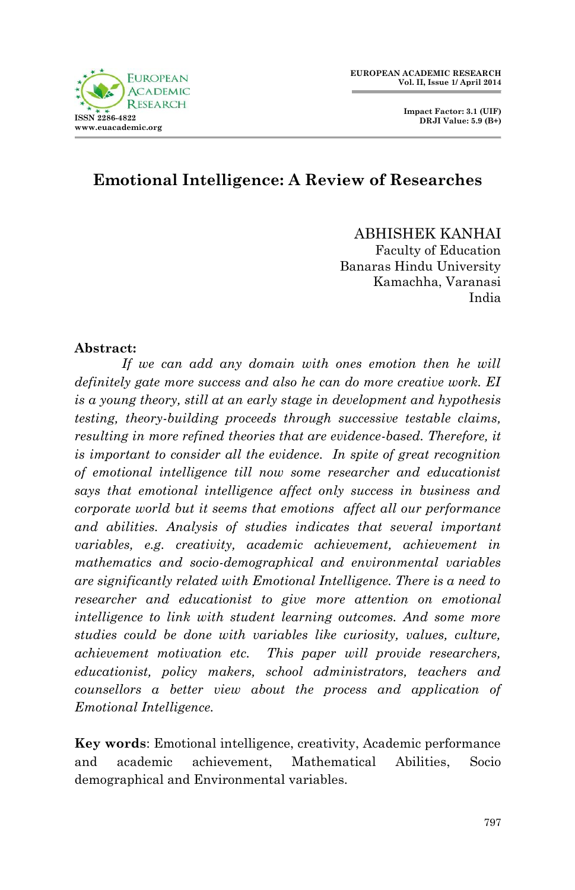



### **Emotional Intelligence: A Review of Researches**

ABHISHEK KANHAI

Faculty of Education Banaras Hindu University Kamachha, Varanasi India

#### **Abstract:**

*If we can add any domain with ones emotion then he will definitely gate more success and also he can do more creative work. EI is a young theory, still at an early stage in development and hypothesis testing, theory-building proceeds through successive testable claims, resulting in more refined theories that are evidence-based. Therefore, it is important to consider all the evidence. In spite of great recognition of emotional intelligence till now some researcher and educationist says that emotional intelligence affect only success in business and corporate world but it seems that emotions affect all our performance and abilities. Analysis of studies indicates that several important variables, e.g. creativity, academic achievement, achievement in mathematics and socio-demographical and environmental variables are significantly related with Emotional Intelligence. There is a need to researcher and educationist to give more attention on emotional intelligence to link with student learning outcomes. And some more studies could be done with variables like curiosity, values, culture, achievement motivation etc. This paper will provide researchers, educationist, policy makers, school administrators, teachers and counsellors a better view about the process and application of Emotional Intelligence.*

**Key words**: Emotional intelligence, creativity, Academic performance and academic achievement, Mathematical Abilities, Socio demographical and Environmental variables.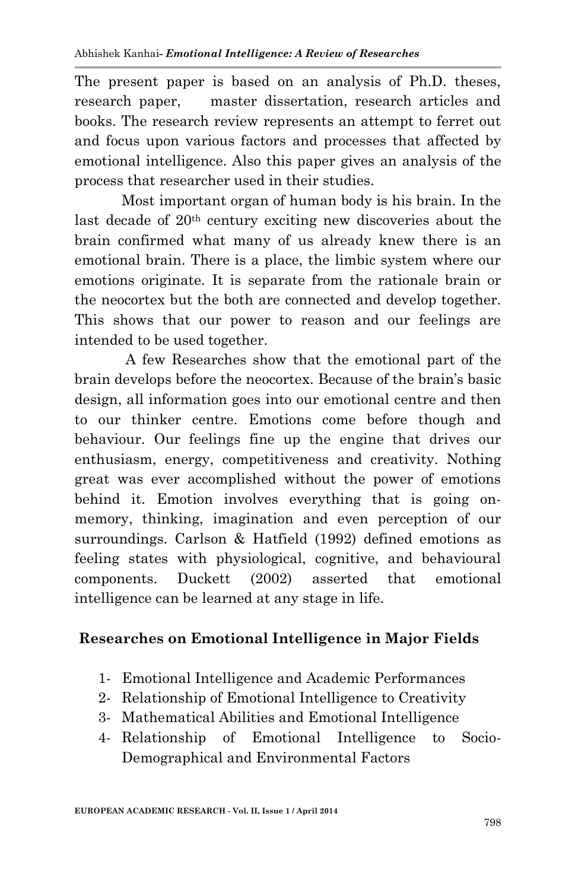The present paper is based on an analysis of Ph.D. theses, research paper, master dissertation, research articles and books. The research review represents an attempt to ferret out and focus upon various factors and processes that affected by emotional intelligence. Also this paper gives an analysis of the process that researcher used in their studies.

Most important organ of human body is his brain. In the last decade of 20th century exciting new discoveries about the brain confirmed what many of us already knew there is an emotional brain. There is a place, the limbic system where our emotions originate. It is separate from the rationale brain or the neocortex but the both are connected and develop together. This shows that our power to reason and our feelings are intended to be used together.

A few Researches show that the emotional part of the brain develops before the neocortex. Because of the brain's basic design, all information goes into our emotional centre and then to our thinker centre. Emotions come before though and behaviour. Our feelings fine up the engine that drives our enthusiasm, energy, competitiveness and creativity. Nothing great was ever accomplished without the power of emotions behind it. Emotion involves everything that is going onmemory, thinking, imagination and even perception of our surroundings. Carlson & Hatfield (1992) defined emotions as feeling states with physiological, cognitive, and behavioural components. Duckett (2002) asserted that emotional intelligence can be learned at any stage in life.

#### **Researches on Emotional Intelligence in Major Fields**

- 1- Emotional Intelligence and Academic Performances
- 2- Relationship of Emotional Intelligence to Creativity
- 3- Mathematical Abilities and Emotional Intelligence
- 4- Relationship of Emotional Intelligence to Socio-Demographical and Environmental Factors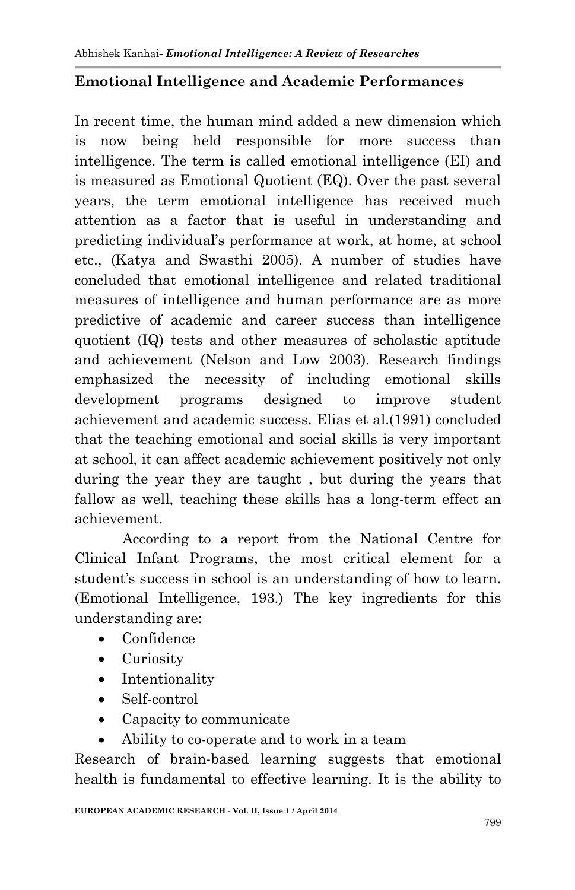### **Emotional Intelligence and Academic Performances**

In recent time, the human mind added a new dimension which is now being held responsible for more success than intelligence. The term is called emotional intelligence (EI) and is measured as Emotional Quotient (EQ). Over the past several years, the term emotional intelligence has received much attention as a factor that is useful in understanding and predicting individual's performance at work, at home, at school etc., (Katya and Swasthi 2005). A number of studies have concluded that emotional intelligence and related traditional measures of intelligence and human performance are as more predictive of academic and career success than intelligence quotient (IQ) tests and other measures of scholastic aptitude and achievement (Nelson and Low 2003). Research findings emphasized the necessity of including emotional skills development programs designed to improve student achievement and academic success. Elias et al.(1991) concluded that the teaching emotional and social skills is very important at school, it can affect academic achievement positively not only during the year they are taught , but during the years that fallow as well, teaching these skills has a long-term effect an achievement.

 According to a report from the National Centre for Clinical Infant Programs, the most critical element for a student's success in school is an understanding of how to learn. (Emotional Intelligence, 193.) The key ingredients for this understanding are:

- Confidence
- Curiosity
- Intentionality
- Self-control
- Capacity to communicate
- Ability to co-operate and to work in a team

Research of brain-based learning suggests that emotional health is fundamental to effective learning. It is the ability to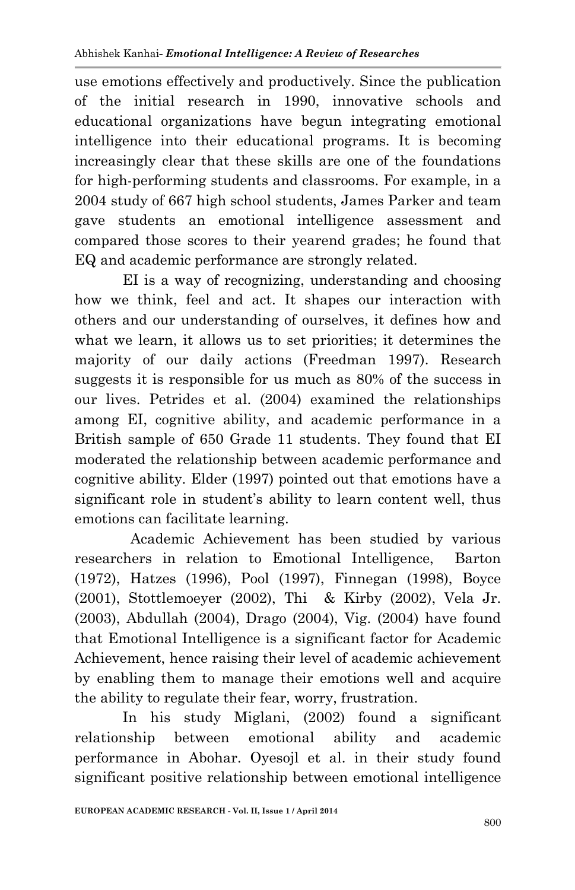use emotions effectively and productively. Since the publication of the initial research in 1990, innovative schools and educational organizations have begun integrating emotional intelligence into their educational programs. It is becoming increasingly clear that these skills are one of the foundations for high-performing students and classrooms. For example, in a 2004 study of 667 high school students, James Parker and team gave students an emotional intelligence assessment and compared those scores to their yearend grades; he found that EQ and academic performance are strongly related.

 EI is a way of recognizing, understanding and choosing how we think, feel and act. It shapes our interaction with others and our understanding of ourselves, it defines how and what we learn, it allows us to set priorities; it determines the majority of our daily actions (Freedman 1997). Research suggests it is responsible for us much as 80% of the success in our lives. Petrides et al. (2004) examined the relationships among EI, cognitive ability, and academic performance in a British sample of 650 Grade 11 students. They found that EI moderated the relationship between academic performance and cognitive ability. Elder (1997) pointed out that emotions have a significant role in student's ability to learn content well, thus emotions can facilitate learning.

 Academic Achievement has been studied by various researchers in relation to Emotional Intelligence, Barton (1972), Hatzes (1996), Pool (1997), Finnegan (1998), Boyce (2001), Stottlemoeyer (2002), Thi & Kirby (2002), Vela Jr. (2003), Abdullah (2004), Drago (2004), Vig. (2004) have found that Emotional Intelligence is a significant factor for Academic Achievement, hence raising their level of academic achievement by enabling them to manage their emotions well and acquire the ability to regulate their fear, worry, frustration.

 In his study Miglani, (2002) found a significant relationship between emotional ability and academic performance in Abohar. Oyesojl et al. in their study found significant positive relationship between emotional intelligence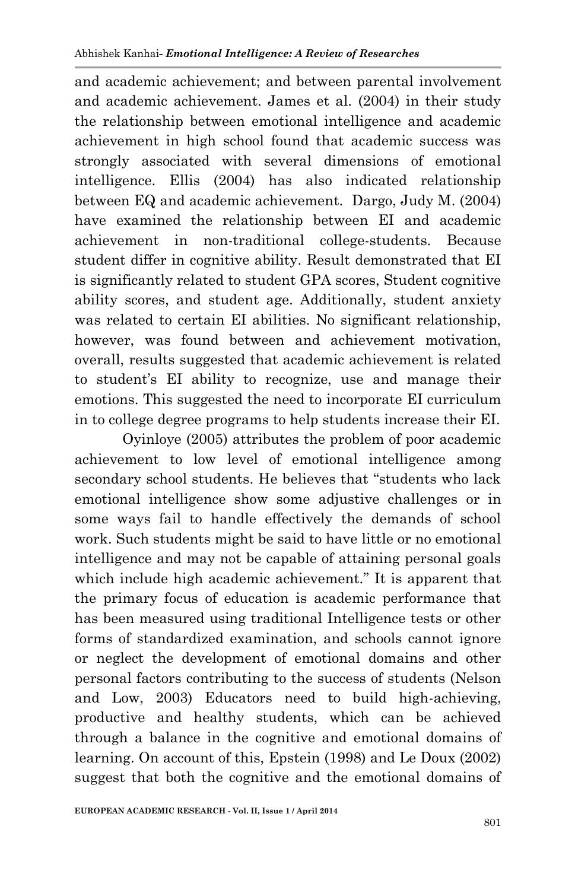and academic achievement; and between parental involvement and academic achievement. James et al. (2004) in their study the relationship between emotional intelligence and academic achievement in high school found that academic success was strongly associated with several dimensions of emotional intelligence. Ellis (2004) has also indicated relationship between EQ and academic achievement. Dargo, Judy M. (2004) have examined the relationship between EI and academic achievement in non-traditional college-students. Because student differ in cognitive ability. Result demonstrated that EI is significantly related to student GPA scores, Student cognitive ability scores, and student age. Additionally, student anxiety was related to certain EI abilities. No significant relationship, however, was found between and achievement motivation, overall, results suggested that academic achievement is related to student's EI ability to recognize, use and manage their emotions. This suggested the need to incorporate EI curriculum in to college degree programs to help students increase their EI.

 Oyinloye (2005) attributes the problem of poor academic achievement to low level of emotional intelligence among secondary school students. He believes that "students who lack emotional intelligence show some adjustive challenges or in some ways fail to handle effectively the demands of school work. Such students might be said to have little or no emotional intelligence and may not be capable of attaining personal goals which include high academic achievement." It is apparent that the primary focus of education is academic performance that has been measured using traditional Intelligence tests or other forms of standardized examination, and schools cannot ignore or neglect the development of emotional domains and other personal factors contributing to the success of students (Nelson and Low, 2003) Educators need to build high-achieving, productive and healthy students, which can be achieved through a balance in the cognitive and emotional domains of learning. On account of this, Epstein (1998) and Le Doux (2002) suggest that both the cognitive and the emotional domains of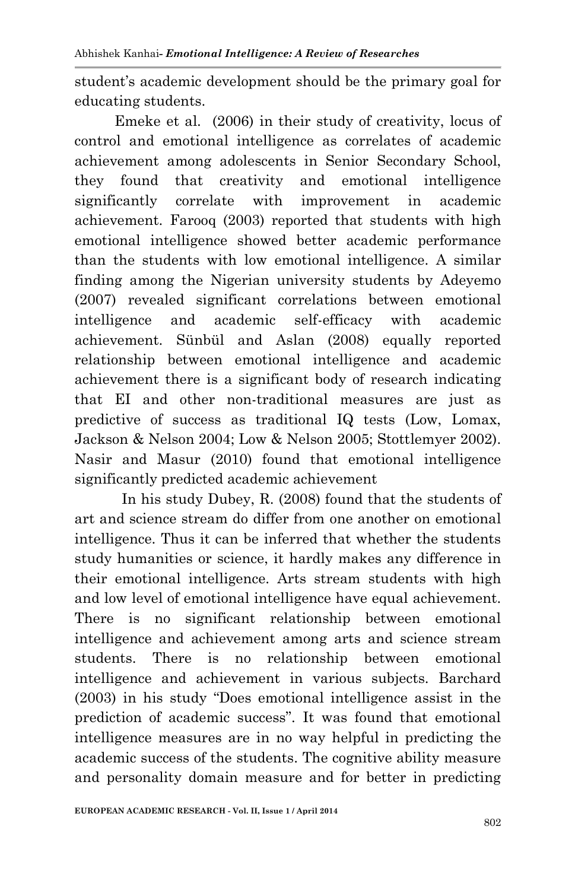student's academic development should be the primary goal for educating students.

 Emeke et al. (2006) in their study of creativity, locus of control and emotional intelligence as correlates of academic achievement among adolescents in Senior Secondary School, they found that creativity and emotional intelligence significantly correlate with improvement in academic achievement. Farooq (2003) reported that students with high emotional intelligence showed better academic performance than the students with low emotional intelligence. A similar finding among the Nigerian university students by Adeyemo (2007) revealed significant correlations between emotional intelligence and academic self-efficacy with academic achievement. Sünbül and Aslan (2008) equally reported relationship between emotional intelligence and academic achievement there is a significant body of research indicating that EI and other non-traditional measures are just as predictive of success as traditional IQ tests (Low, Lomax, Jackson & Nelson 2004; Low & Nelson 2005; Stottlemyer 2002). Nasir and Masur (2010) found that emotional intelligence significantly predicted academic achievement

In his study Dubey, R. (2008) found that the students of art and science stream do differ from one another on emotional intelligence. Thus it can be inferred that whether the students study humanities or science, it hardly makes any difference in their emotional intelligence. Arts stream students with high and low level of emotional intelligence have equal achievement. There is no significant relationship between emotional intelligence and achievement among arts and science stream students. There is no relationship between emotional intelligence and achievement in various subjects. Barchard (2003) in his study "Does emotional intelligence assist in the prediction of academic success". It was found that emotional intelligence measures are in no way helpful in predicting the academic success of the students. The cognitive ability measure and personality domain measure and for better in predicting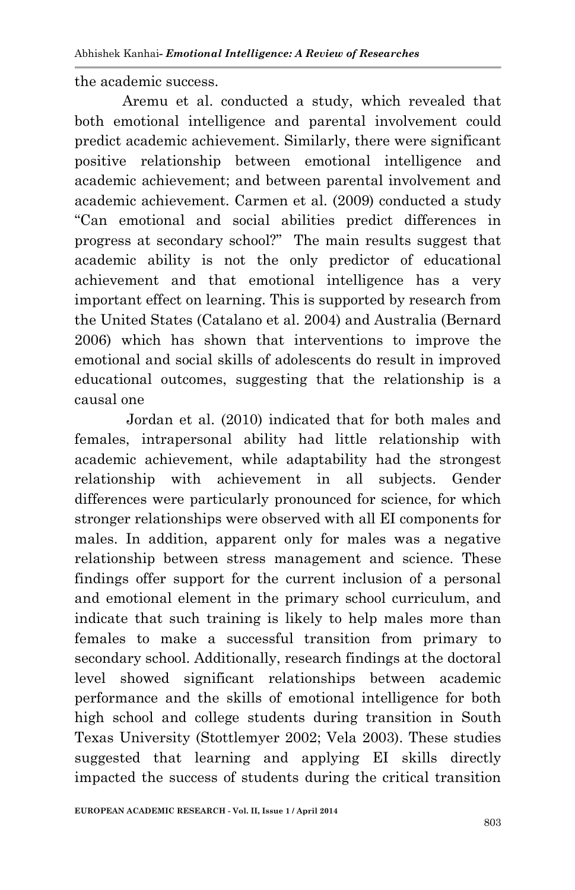the academic success.

 Aremu et al. conducted a study, which revealed that both emotional intelligence and parental involvement could predict academic achievement. Similarly, there were significant positive relationship between emotional intelligence and academic achievement; and between parental involvement and academic achievement. Carmen et al. (2009) conducted a study "Can emotional and social abilities predict differences in progress at secondary school?" The main results suggest that academic ability is not the only predictor of educational achievement and that emotional intelligence has a very important effect on learning. This is supported by research from the United States (Catalano et al. 2004) and Australia (Bernard 2006) which has shown that interventions to improve the emotional and social skills of adolescents do result in improved educational outcomes, suggesting that the relationship is a causal one

 Jordan et al. (2010) indicated that for both males and females, intrapersonal ability had little relationship with academic achievement, while adaptability had the strongest relationship with achievement in all subjects. Gender differences were particularly pronounced for science, for which stronger relationships were observed with all EI components for males. In addition, apparent only for males was a negative relationship between stress management and science. These findings offer support for the current inclusion of a personal and emotional element in the primary school curriculum, and indicate that such training is likely to help males more than females to make a successful transition from primary to secondary school. Additionally, research findings at the doctoral level showed significant relationships between academic performance and the skills of emotional intelligence for both high school and college students during transition in South Texas University (Stottlemyer 2002; Vela 2003). These studies suggested that learning and applying EI skills directly impacted the success of students during the critical transition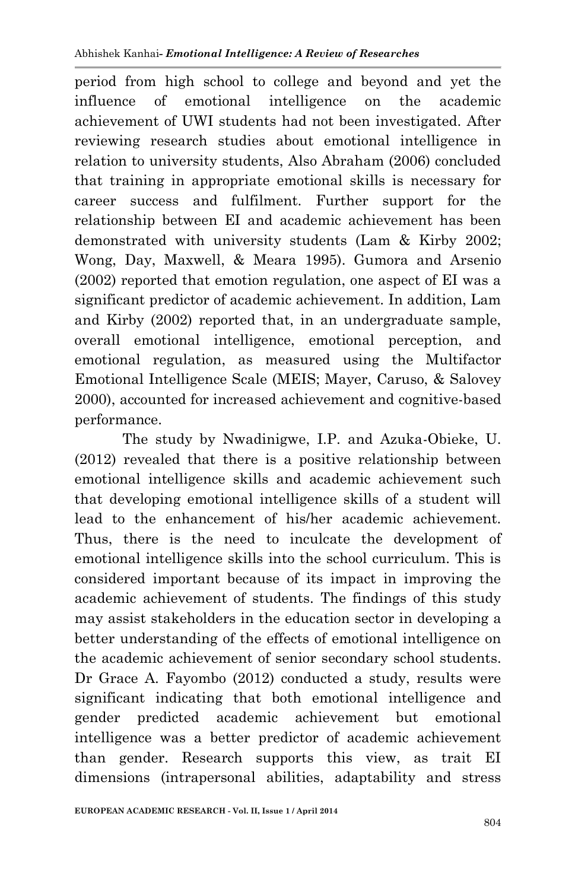period from high school to college and beyond and yet the influence of emotional intelligence on the academic achievement of UWI students had not been investigated. After reviewing research studies about emotional intelligence in relation to university students, Also Abraham (2006) concluded that training in appropriate emotional skills is necessary for career success and fulfilment. Further support for the relationship between EI and academic achievement has been demonstrated with university students (Lam & Kirby 2002; Wong, Day, Maxwell, & Meara 1995). Gumora and Arsenio (2002) reported that emotion regulation, one aspect of EI was a significant predictor of academic achievement. In addition, Lam and Kirby (2002) reported that, in an undergraduate sample, overall emotional intelligence, emotional perception, and emotional regulation, as measured using the Multifactor Emotional Intelligence Scale (MEIS; Mayer, Caruso, & Salovey 2000), accounted for increased achievement and cognitive-based performance.

 The study by Nwadinigwe, I.P. and Azuka-Obieke, U. (2012) revealed that there is a positive relationship between emotional intelligence skills and academic achievement such that developing emotional intelligence skills of a student will lead to the enhancement of his/her academic achievement. Thus, there is the need to inculcate the development of emotional intelligence skills into the school curriculum. This is considered important because of its impact in improving the academic achievement of students. The findings of this study may assist stakeholders in the education sector in developing a better understanding of the effects of emotional intelligence on the academic achievement of senior secondary school students. Dr Grace A. Fayombo (2012) conducted a study, results were significant indicating that both emotional intelligence and gender predicted academic achievement but emotional intelligence was a better predictor of academic achievement than gender. Research supports this view, as trait EI dimensions (intrapersonal abilities, adaptability and stress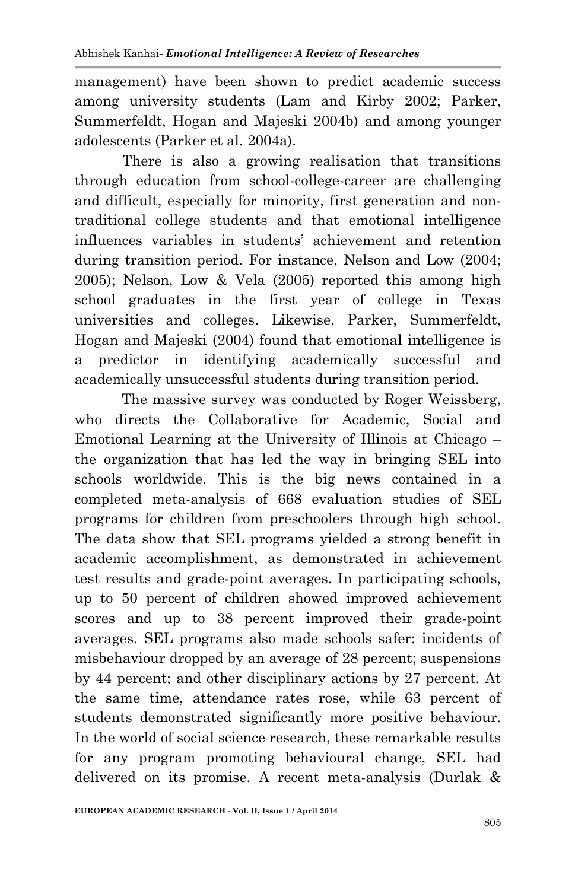management) have been shown to predict academic success among university students (Lam and Kirby 2002; Parker, Summerfeldt, Hogan and Majeski 2004b) and among younger adolescents (Parker et al. 2004a).

 There is also a growing realisation that transitions through education from school-college-career are challenging and difficult, especially for minority, first generation and nontraditional college students and that emotional intelligence influences variables in students' achievement and retention during transition period. For instance, Nelson and Low (2004; 2005); Nelson, Low & Vela (2005) reported this among high school graduates in the first year of college in Texas universities and colleges. Likewise, Parker, Summerfeldt, Hogan and Majeski (2004) found that emotional intelligence is a predictor in identifying academically successful and academically unsuccessful students during transition period.

The massive survey was conducted by Roger Weissberg, who directs the Collaborative for Academic, Social and Emotional Learning at the University of Illinois at Chicago – the organization that has led the way in bringing SEL into schools worldwide. This is the big news contained in a completed meta-analysis of 668 evaluation studies of SEL programs for children from preschoolers through high school. The data show that SEL programs yielded a strong benefit in academic accomplishment, as demonstrated in achievement test results and grade-point averages. In participating schools, up to 50 percent of children showed improved achievement scores and up to 38 percent improved their grade-point averages. SEL programs also made schools safer: incidents of misbehaviour dropped by an average of 28 percent; suspensions by 44 percent; and other disciplinary actions by 27 percent. At the same time, attendance rates rose, while 63 percent of students demonstrated significantly more positive behaviour. In the world of social science research, these remarkable results for any program promoting behavioural change, SEL had delivered on its promise. A recent meta-analysis (Durlak &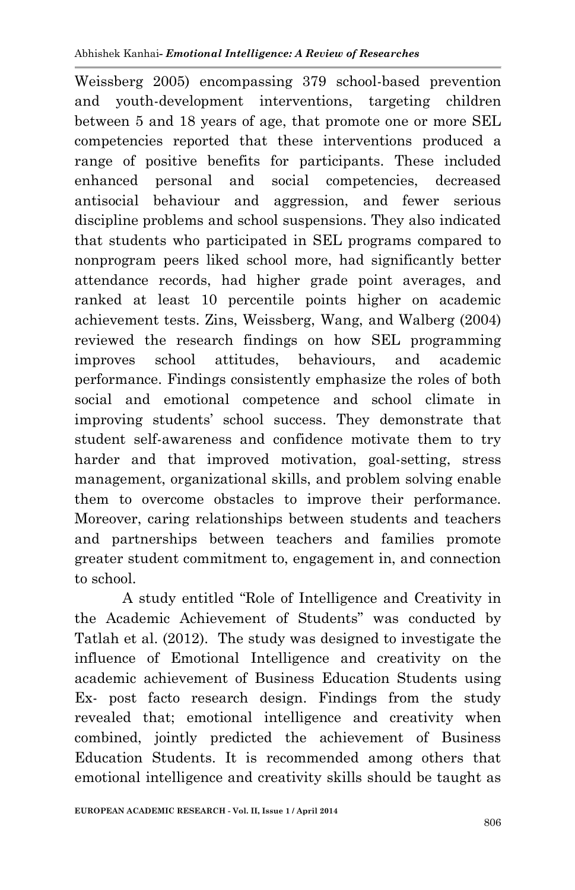Weissberg 2005) encompassing 379 school-based prevention and youth-development interventions, targeting children between 5 and 18 years of age, that promote one or more SEL competencies reported that these interventions produced a range of positive benefits for participants. These included enhanced personal and social competencies, decreased antisocial behaviour and aggression, and fewer serious discipline problems and school suspensions. They also indicated that students who participated in SEL programs compared to nonprogram peers liked school more, had significantly better attendance records, had higher grade point averages, and ranked at least 10 percentile points higher on academic achievement tests. Zins, Weissberg, Wang, and Walberg (2004) reviewed the research findings on how SEL programming improves school attitudes, behaviours, and academic performance. Findings consistently emphasize the roles of both social and emotional competence and school climate in improving students' school success. They demonstrate that student self-awareness and confidence motivate them to try harder and that improved motivation, goal-setting, stress management, organizational skills, and problem solving enable them to overcome obstacles to improve their performance. Moreover, caring relationships between students and teachers and partnerships between teachers and families promote greater student commitment to, engagement in, and connection to school.

 A study entitled "Role of Intelligence and Creativity in the Academic Achievement of Students" was conducted by Tatlah et al. (2012). The study was designed to investigate the influence of Emotional Intelligence and creativity on the academic achievement of Business Education Students using Ex- post facto research design. Findings from the study revealed that; emotional intelligence and creativity when combined, jointly predicted the achievement of Business Education Students. It is recommended among others that emotional intelligence and creativity skills should be taught as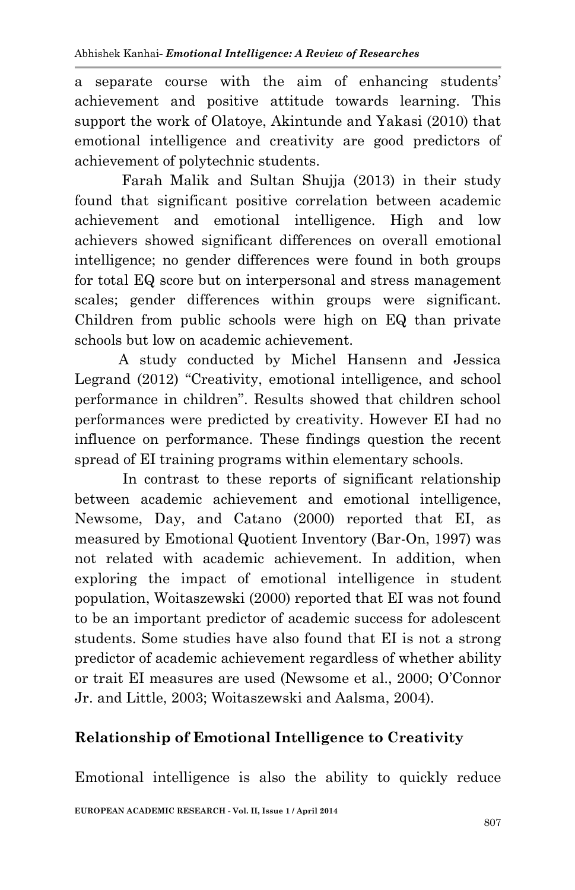a separate course with the aim of enhancing students' achievement and positive attitude towards learning. This support the work of Olatoye, Akintunde and Yakasi (2010) that emotional intelligence and creativity are good predictors of achievement of polytechnic students.

Farah Malik and Sultan Shujja (2013) in their study found that significant positive correlation between academic achievement and emotional intelligence. High and low achievers showed significant differences on overall emotional intelligence; no gender differences were found in both groups for total EQ score but on interpersonal and stress management scales; gender differences within groups were significant. Children from public schools were high on EQ than private schools but low on academic achievement.

 A study conducted by Michel Hansenn and Jessica Legrand (2012) "Creativity, emotional intelligence, and school performance in children". Results showed that children school performances were predicted by creativity. However EI had no influence on performance. These findings question the recent spread of EI training programs within elementary schools.

 In contrast to these reports of significant relationship between academic achievement and emotional intelligence, Newsome, Day, and Catano (2000) reported that EI, as measured by Emotional Quotient Inventory (Bar-On, 1997) was not related with academic achievement. In addition, when exploring the impact of emotional intelligence in student population, Woitaszewski (2000) reported that EI was not found to be an important predictor of academic success for adolescent students. Some studies have also found that EI is not a strong predictor of academic achievement regardless of whether ability or trait EI measures are used (Newsome et al., 2000; O'Connor Jr. and Little, 2003; Woitaszewski and Aalsma, 2004).

# **Relationship of Emotional Intelligence to Creativity**

Emotional intelligence is also the ability to quickly reduce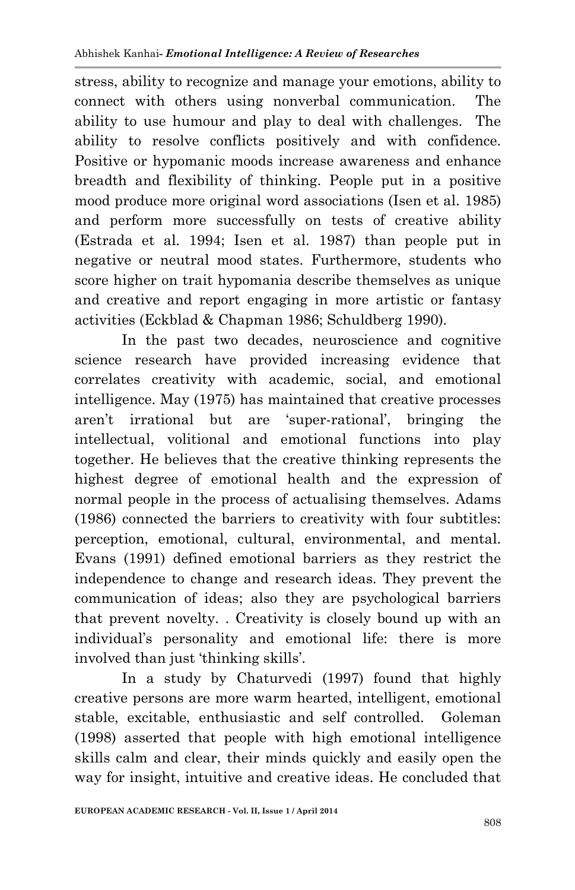stress, ability to recognize and manage your emotions, ability to connect with others using nonverbal communication. The ability to use humour and play to deal with challenges. The ability to resolve conflicts positively and with confidence. Positive or hypomanic moods increase awareness and enhance breadth and flexibility of thinking. People put in a positive mood produce more original word associations (Isen et al. 1985) and perform more successfully on tests of creative ability (Estrada et al. 1994; Isen et al. 1987) than people put in negative or neutral mood states. Furthermore, students who score higher on trait hypomania describe themselves as unique and creative and report engaging in more artistic or fantasy activities (Eckblad & Chapman 1986; Schuldberg 1990).

In the past two decades, neuroscience and cognitive science research have provided increasing evidence that correlates creativity with academic, social, and emotional intelligence. May (1975) has maintained that creative processes aren't irrational but are 'super-rational', bringing the intellectual, volitional and emotional functions into play together. He believes that the creative thinking represents the highest degree of emotional health and the expression of normal people in the process of actualising themselves. Adams (1986) connected the barriers to creativity with four subtitles: perception, emotional, cultural, environmental, and mental. Evans (1991) defined emotional barriers as they restrict the independence to change and research ideas. They prevent the communication of ideas; also they are psychological barriers that prevent novelty. . Creativity is closely bound up with an individual's personality and emotional life: there is more involved than just 'thinking skills'.

In a study by Chaturvedi (1997) found that highly creative persons are more warm hearted, intelligent, emotional stable, excitable, enthusiastic and self controlled. Goleman (1998) asserted that people with high emotional intelligence skills calm and clear, their minds quickly and easily open the way for insight, intuitive and creative ideas. He concluded that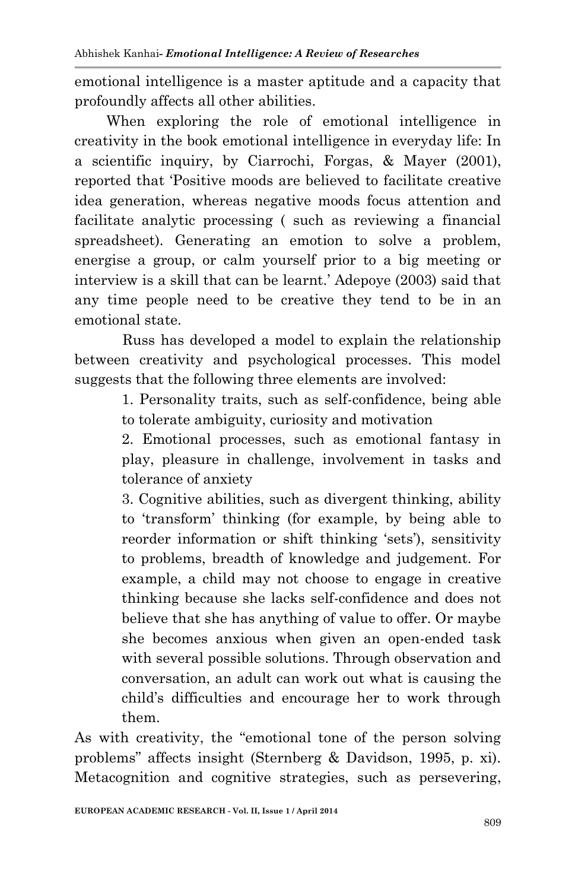emotional intelligence is a master aptitude and a capacity that profoundly affects all other abilities.

 When exploring the role of emotional intelligence in creativity in the book emotional intelligence in everyday life: In a scientific inquiry, by Ciarrochi, Forgas, & Mayer (2001), reported that 'Positive moods are believed to facilitate creative idea generation, whereas negative moods focus attention and facilitate analytic processing ( such as reviewing a financial spreadsheet). Generating an emotion to solve a problem, energise a group, or calm yourself prior to a big meeting or interview is a skill that can be learnt.' Adepoye (2003) said that any time people need to be creative they tend to be in an emotional state.

 Russ has developed a model to explain the relationship between creativity and psychological processes. This model suggests that the following three elements are involved:

> 1. Personality traits, such as self-confidence, being able to tolerate ambiguity, curiosity and motivation

> 2. Emotional processes, such as emotional fantasy in play, pleasure in challenge, involvement in tasks and tolerance of anxiety

> 3. Cognitive abilities, such as divergent thinking, ability to 'transform' thinking (for example, by being able to reorder information or shift thinking 'sets'), sensitivity to problems, breadth of knowledge and judgement. For example, a child may not choose to engage in creative thinking because she lacks self-confidence and does not believe that she has anything of value to offer. Or maybe she becomes anxious when given an open-ended task with several possible solutions. Through observation and conversation, an adult can work out what is causing the child's difficulties and encourage her to work through them.

As with creativity, the "emotional tone of the person solving problems" affects insight (Sternberg & Davidson, 1995, p. xi). Metacognition and cognitive strategies, such as persevering,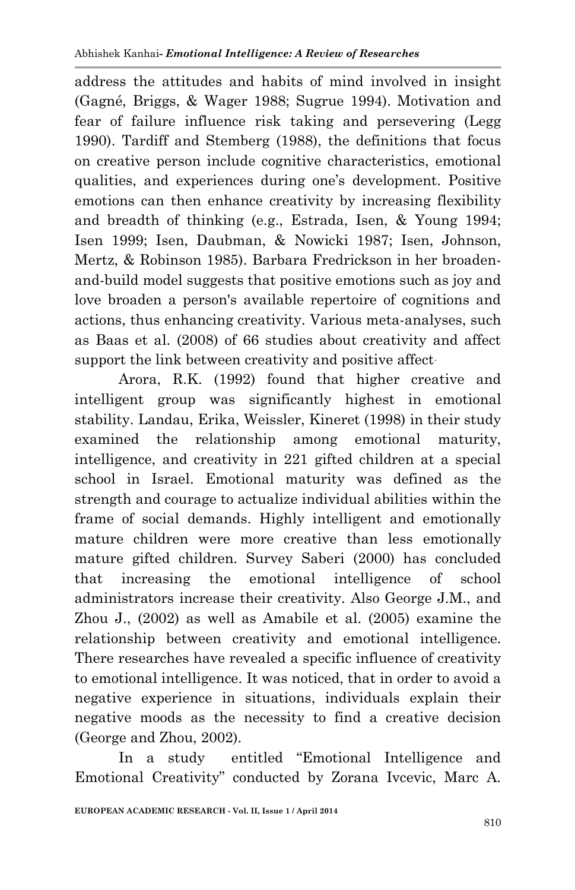address the attitudes and habits of mind involved in insight (Gagné, Briggs, & Wager 1988; Sugrue 1994). Motivation and fear of failure influence risk taking and persevering (Legg 1990). Tardiff and Stemberg (1988), the definitions that focus on creative person include cognitive characteristics, emotional qualities, and experiences during one's development. Positive emotions can then enhance creativity by increasing flexibility and breadth of thinking (e.g., Estrada, Isen, & Young 1994; Isen 1999; Isen, Daubman, & Nowicki 1987; Isen, Johnson, Mertz, & Robinson 1985). Barbara Fredrickson in her broadenand-build model suggests that positive emotions such as joy and love broaden a person's available repertoire of cognitions and actions, thus enhancing creativity. Various meta-analyses, such as Baas et al. (2008) of 66 studies about creativity and affect support the link between creativity and positive affect.

 Arora, R.K. (1992) found that higher creative and intelligent group was significantly highest in emotional stability. Landau, Erika, Weissler, Kineret (1998) in their study examined the relationship among emotional maturity, intelligence, and creativity in 221 gifted children at a special school in Israel. Emotional maturity was defined as the strength and courage to actualize individual abilities within the frame of social demands. Highly intelligent and emotionally mature children were more creative than less emotionally mature gifted children. Survey Saberi (2000) has concluded that increasing the emotional intelligence of school administrators increase their creativity. Also George J.M., and Zhou J., (2002) as well as Amabile et al. (2005) examine the relationship between creativity and emotional intelligence. There researches have revealed a specific influence of creativity to emotional intelligence. It was noticed, that in order to avoid a negative experience in situations, individuals explain their negative moods as the necessity to find a creative decision (George and Zhou, 2002).

 In a study entitled "Emotional Intelligence and Emotional Creativity" conducted by Zorana Ivcevic, Marc A.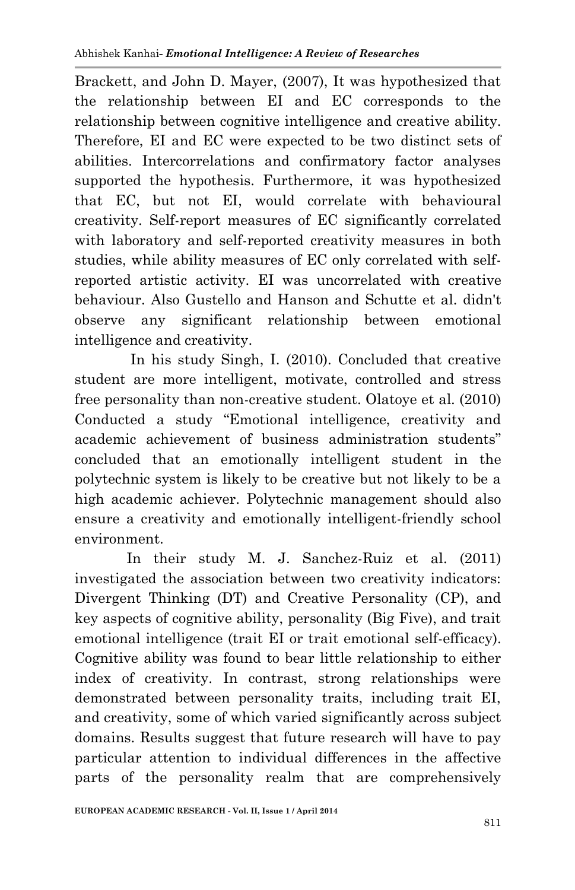Brackett, and John D. Mayer, (2007), It was hypothesized that the relationship between EI and EC corresponds to the relationship between cognitive intelligence and creative ability. Therefore, EI and EC were expected to be two distinct sets of abilities. Intercorrelations and confirmatory factor analyses supported the hypothesis. Furthermore, it was hypothesized that EC, but not EI, would correlate with behavioural creativity. Self-report measures of EC significantly correlated with laboratory and self-reported creativity measures in both studies, while ability measures of EC only correlated with selfreported artistic activity. EI was uncorrelated with creative behaviour. Also Gustello and Hanson and Schutte et al. didn't observe any significant relationship between emotional intelligence and creativity.

 In his study Singh, I. (2010). Concluded that creative student are more intelligent, motivate, controlled and stress free personality than non-creative student. Olatoye et al. (2010) Conducted a study "Emotional intelligence, creativity and academic achievement of business administration students" concluded that an emotionally intelligent student in the polytechnic system is likely to be creative but not likely to be a high academic achiever. Polytechnic management should also ensure a creativity and emotionally intelligent-friendly school environment.

 In their study M. J. Sanchez-Ruiz et al. (2011) investigated the association between two creativity indicators: Divergent Thinking (DT) and Creative Personality (CP), and key aspects of cognitive ability, personality (Big Five), and trait emotional intelligence (trait EI or trait emotional self-efficacy). Cognitive ability was found to bear little relationship to either index of creativity. In contrast, strong relationships were demonstrated between personality traits, including trait EI, and creativity, some of which varied significantly across subject domains. Results suggest that future research will have to pay particular attention to individual differences in the affective parts of the personality realm that are comprehensively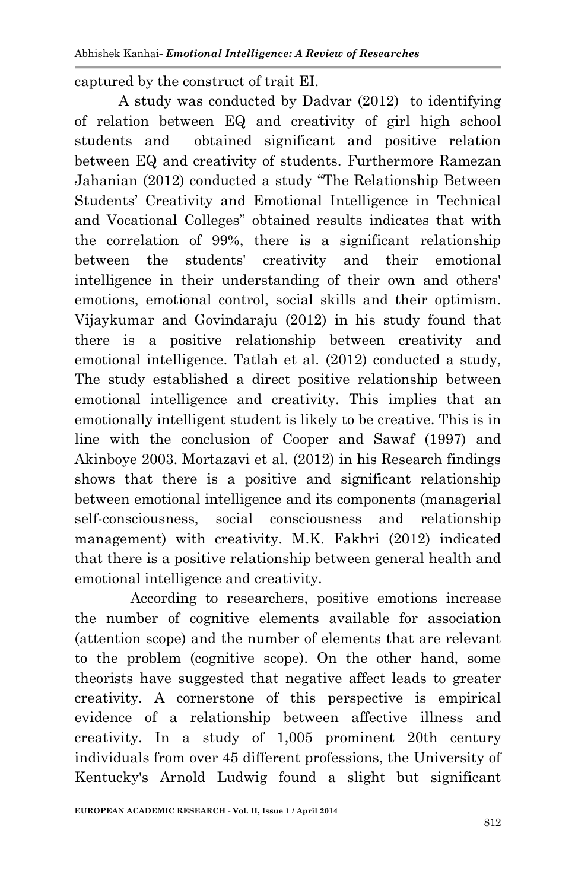captured by the construct of trait EI.

 A study was conducted by Dadvar (2012) to identifying of relation between EQ and creativity of girl high school students and obtained significant and positive relation between EQ and creativity of students. Furthermore Ramezan Jahanian (2012) conducted a study "The Relationship Between Students' Creativity and Emotional Intelligence in Technical and Vocational Colleges" obtained results indicates that with the correlation of 99%, there is a significant relationship between the students' creativity and their emotional intelligence in their understanding of their own and others' emotions, emotional control, social skills and their optimism. Vijaykumar and Govindaraju (2012) in his study found that there is a positive relationship between creativity and emotional intelligence. Tatlah et al. (2012) conducted a study, The study established a direct positive relationship between emotional intelligence and creativity. This implies that an emotionally intelligent student is likely to be creative. This is in line with the conclusion of Cooper and Sawaf (1997) and Akinboye 2003. Mortazavi et al. (2012) in his Research findings shows that there is a positive and significant relationship between emotional intelligence and its components (managerial self-consciousness, social consciousness and relationship management) with creativity. M.K. Fakhri (2012) indicated that there is a positive relationship between general health and emotional intelligence and creativity.

 According to researchers, positive emotions increase the number of cognitive elements available for association (attention scope) and the number of elements that are relevant to the problem (cognitive scope). On the other hand, some theorists have suggested that negative affect leads to greater creativity. A cornerstone of this perspective is empirical evidence of a relationship between affective illness and creativity. In a study of 1,005 prominent 20th century individuals from over 45 different professions, the University of Kentucky's Arnold Ludwig found a slight but significant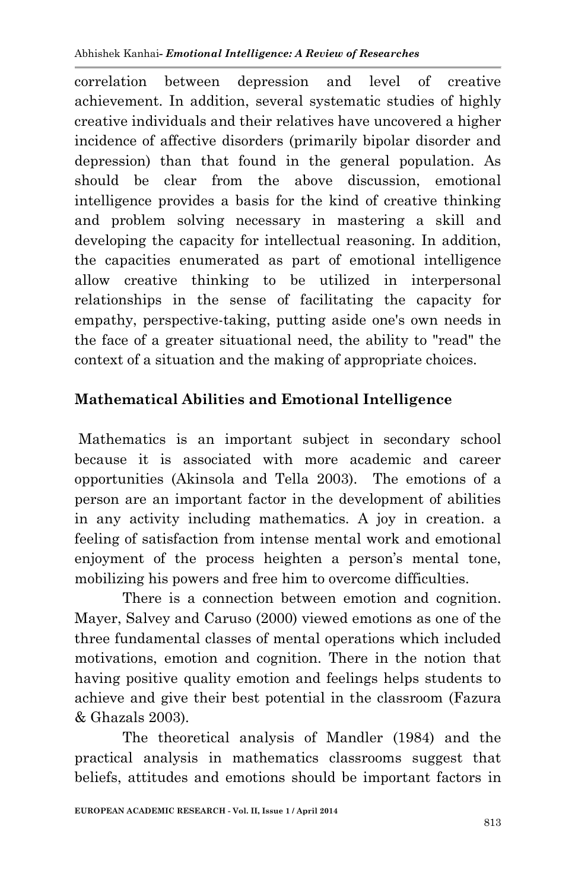correlation between depression and level of creative achievement. In addition, several systematic studies of highly creative individuals and their relatives have uncovered a higher incidence of affective disorders (primarily bipolar disorder and depression) than that found in the general population. As should be clear from the above discussion, emotional intelligence provides a basis for the kind of creative thinking and problem solving necessary in mastering a skill and developing the capacity for intellectual reasoning. In addition, the capacities enumerated as part of emotional intelligence allow creative thinking to be utilized in interpersonal relationships in the sense of facilitating the capacity for empathy, perspective-taking, putting aside one's own needs in the face of a greater situational need, the ability to "read" the context of a situation and the making of appropriate choices.

# **Mathematical Abilities and Emotional Intelligence**

Mathematics is an important subject in secondary school because it is associated with more academic and career opportunities (Akinsola and Tella 2003). The emotions of a person are an important factor in the development of abilities in any activity including mathematics. A joy in creation. a feeling of satisfaction from intense mental work and emotional enjoyment of the process heighten a person's mental tone, mobilizing his powers and free him to overcome difficulties.

 There is a connection between emotion and cognition. Mayer, Salvey and Caruso (2000) viewed emotions as one of the three fundamental classes of mental operations which included motivations, emotion and cognition. There in the notion that having positive quality emotion and feelings helps students to achieve and give their best potential in the classroom (Fazura & Ghazals 2003).

 The theoretical analysis of Mandler (1984) and the practical analysis in mathematics classrooms suggest that beliefs, attitudes and emotions should be important factors in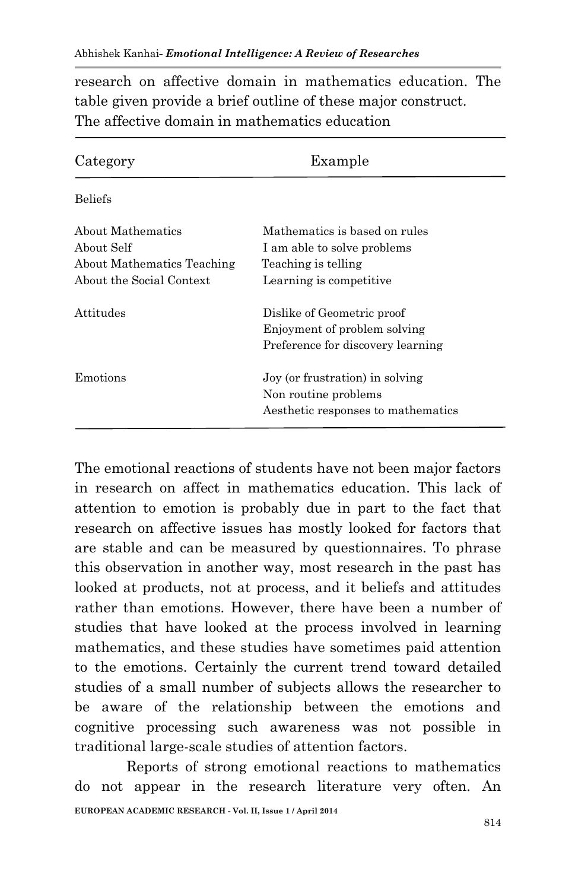research on affective domain in mathematics education. The table given provide a brief outline of these major construct. The affective domain in mathematics education

| Category                                                                                  | Example                                                                                                         |
|-------------------------------------------------------------------------------------------|-----------------------------------------------------------------------------------------------------------------|
| <b>Beliefs</b>                                                                            |                                                                                                                 |
| About Mathematics<br>About Self<br>About Mathematics Teaching<br>About the Social Context | Mathematics is based on rules<br>I am able to solve problems<br>Teaching is telling<br>Learning is competitive. |
| Attitudes                                                                                 | Dislike of Geometric proof<br>Enjoyment of problem solving<br>Preference for discovery learning                 |
| Emotions                                                                                  | Joy (or frustration) in solving<br>Non routine problems<br>Aesthetic responses to mathematics                   |

The emotional reactions of students have not been major factors in research on affect in mathematics education. This lack of attention to emotion is probably due in part to the fact that research on affective issues has mostly looked for factors that are stable and can be measured by questionnaires. To phrase this observation in another way, most research in the past has looked at products, not at process, and it beliefs and attitudes rather than emotions. However, there have been a number of studies that have looked at the process involved in learning mathematics, and these studies have sometimes paid attention to the emotions. Certainly the current trend toward detailed studies of a small number of subjects allows the researcher to be aware of the relationship between the emotions and cognitive processing such awareness was not possible in traditional large-scale studies of attention factors.

**EUROPEAN ACADEMIC RESEARCH - Vol. II, Issue 1 / April 2014** Reports of strong emotional reactions to mathematics do not appear in the research literature very often. An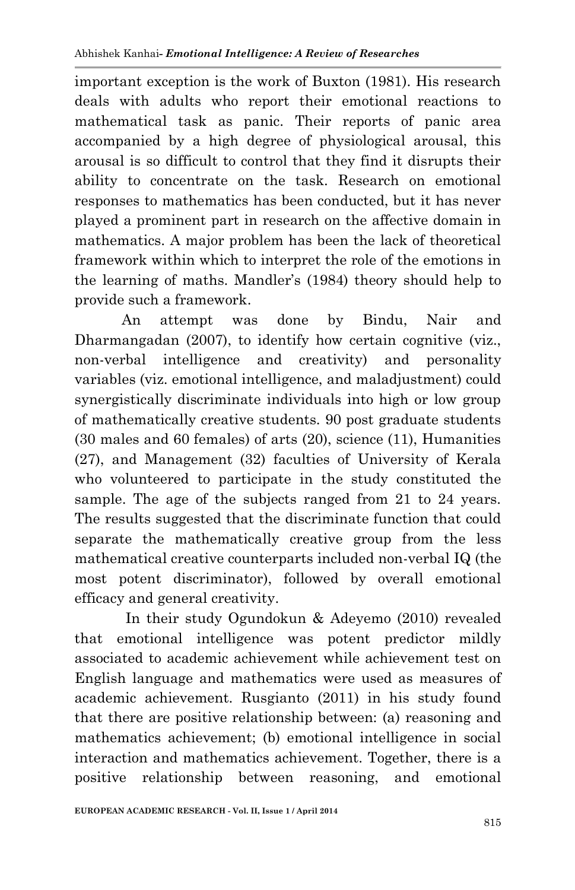important exception is the work of Buxton (1981). His research deals with adults who report their emotional reactions to mathematical task as panic. Their reports of panic area accompanied by a high degree of physiological arousal, this arousal is so difficult to control that they find it disrupts their ability to concentrate on the task. Research on emotional responses to mathematics has been conducted, but it has never played a prominent part in research on the affective domain in mathematics. A major problem has been the lack of theoretical framework within which to interpret the role of the emotions in the learning of maths. Mandler's (1984) theory should help to provide such a framework.

An attempt was done by Bindu, Nair and Dharmangadan (2007), to identify how certain cognitive (viz., non-verbal intelligence and creativity) and personality variables (viz. emotional intelligence, and maladjustment) could synergistically discriminate individuals into high or low group of mathematically creative students. 90 post graduate students (30 males and 60 females) of arts (20), science (11), Humanities (27), and Management (32) faculties of University of Kerala who volunteered to participate in the study constituted the sample. The age of the subjects ranged from 21 to 24 years. The results suggested that the discriminate function that could separate the mathematically creative group from the less mathematical creative counterparts included non-verbal IQ (the most potent discriminator), followed by overall emotional efficacy and general creativity.

 In their study Ogundokun & Adeyemo (2010) revealed that emotional intelligence was potent predictor mildly associated to academic achievement while achievement test on English language and mathematics were used as measures of academic achievement. Rusgianto (2011) in his study found that there are positive relationship between: (a) reasoning and mathematics achievement; (b) emotional intelligence in social interaction and mathematics achievement. Together, there is a positive relationship between reasoning, and emotional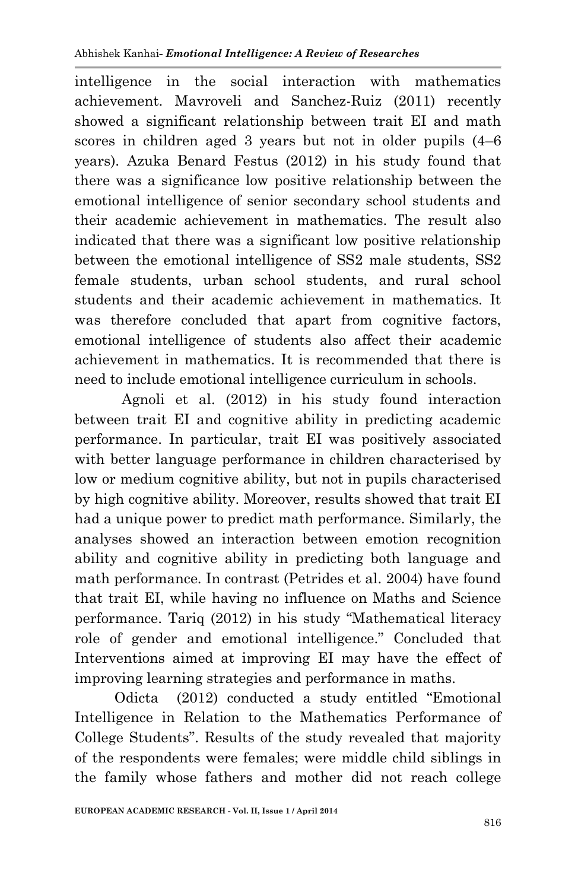intelligence in the social interaction with mathematics achievement. Mavroveli and Sanchez-Ruiz (2011) recently showed a significant relationship between trait EI and math scores in children aged 3 years but not in older pupils (4–6 years). Azuka Benard Festus (2012) in his study found that there was a significance low positive relationship between the emotional intelligence of senior secondary school students and their academic achievement in mathematics. The result also indicated that there was a significant low positive relationship between the emotional intelligence of SS2 male students, SS2 female students, urban school students, and rural school students and their academic achievement in mathematics. It was therefore concluded that apart from cognitive factors, emotional intelligence of students also affect their academic achievement in mathematics. It is recommended that there is need to include emotional intelligence curriculum in schools.

Agnoli et al. (2012) in his study found interaction between trait EI and cognitive ability in predicting academic performance. In particular, trait EI was positively associated with better language performance in children characterised by low or medium cognitive ability, but not in pupils characterised by high cognitive ability. Moreover, results showed that trait EI had a unique power to predict math performance. Similarly, the analyses showed an interaction between emotion recognition ability and cognitive ability in predicting both language and math performance. In contrast (Petrides et al. 2004) have found that trait EI, while having no influence on Maths and Science performance. Tariq (2012) in his study "Mathematical literacy role of gender and emotional intelligence." Concluded that Interventions aimed at improving EI may have the effect of improving learning strategies and performance in maths.

 Odicta (2012) conducted a study entitled "Emotional Intelligence in Relation to the Mathematics Performance of College Students". Results of the study revealed that majority of the respondents were females; were middle child siblings in the family whose fathers and mother did not reach college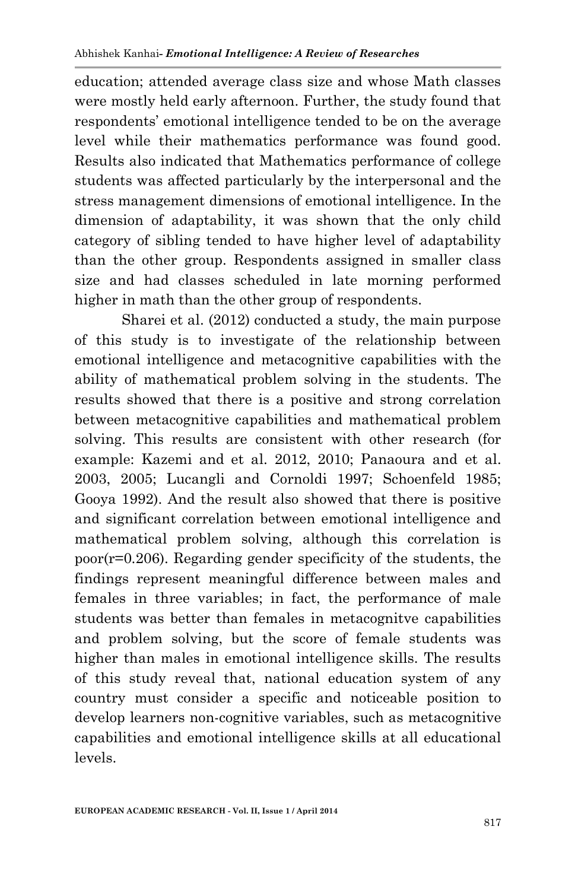education; attended average class size and whose Math classes were mostly held early afternoon. Further, the study found that respondents' emotional intelligence tended to be on the average level while their mathematics performance was found good. Results also indicated that Mathematics performance of college students was affected particularly by the interpersonal and the stress management dimensions of emotional intelligence. In the dimension of adaptability, it was shown that the only child category of sibling tended to have higher level of adaptability than the other group. Respondents assigned in smaller class size and had classes scheduled in late morning performed higher in math than the other group of respondents.

 Sharei et al. (2012) conducted a study, the main purpose of this study is to investigate of the relationship between emotional intelligence and metacognitive capabilities with the ability of mathematical problem solving in the students. The results showed that there is a positive and strong correlation between metacognitive capabilities and mathematical problem solving. This results are consistent with other research (for example: Kazemi and et al. 2012, 2010; Panaoura and et al. 2003, 2005; Lucangli and Cornoldi 1997; Schoenfeld 1985; Gooya 1992). And the result also showed that there is positive and significant correlation between emotional intelligence and mathematical problem solving, although this correlation is poor(r=0.206). Regarding gender specificity of the students, the findings represent meaningful difference between males and females in three variables; in fact, the performance of male students was better than females in metacognitve capabilities and problem solving, but the score of female students was higher than males in emotional intelligence skills. The results of this study reveal that, national education system of any country must consider a specific and noticeable position to develop learners non-cognitive variables, such as metacognitive capabilities and emotional intelligence skills at all educational levels.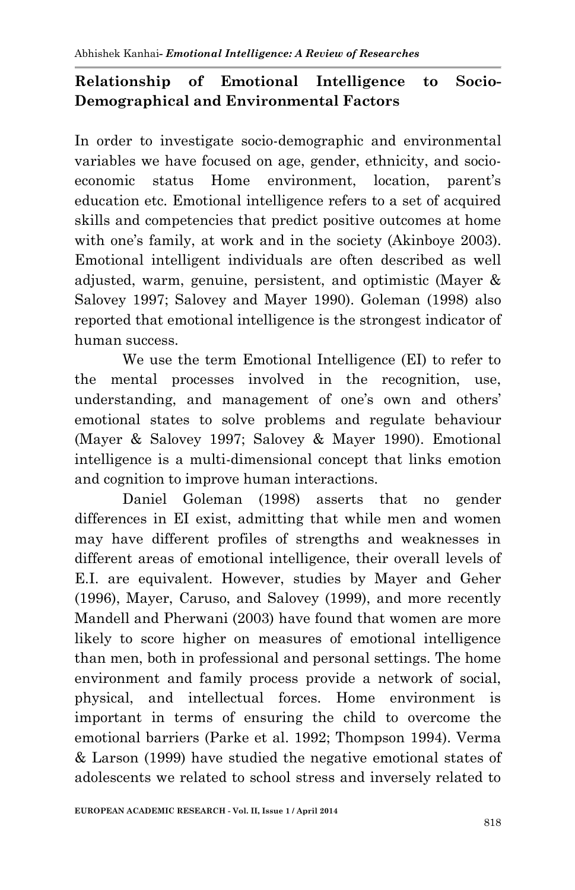# **Relationship of Emotional Intelligence to Socio-Demographical and Environmental Factors**

In order to investigate socio-demographic and environmental variables we have focused on age, gender, ethnicity, and socioeconomic status Home environment, location, parent's education etc. Emotional intelligence refers to a set of acquired skills and competencies that predict positive outcomes at home with one's family, at work and in the society (Akinboye 2003). Emotional intelligent individuals are often described as well adjusted, warm, genuine, persistent, and optimistic (Mayer & Salovey 1997; Salovey and Mayer 1990). Goleman (1998) also reported that emotional intelligence is the strongest indicator of human success.

 We use the term Emotional Intelligence (EI) to refer to the mental processes involved in the recognition, use, understanding, and management of one's own and others' emotional states to solve problems and regulate behaviour (Mayer & Salovey 1997; Salovey & Mayer 1990). Emotional intelligence is a multi-dimensional concept that links emotion and cognition to improve human interactions.

 Daniel Goleman (1998) asserts that no gender differences in EI exist, admitting that while men and women may have different profiles of strengths and weaknesses in different areas of emotional intelligence, their overall levels of E.I. are equivalent. However, studies by Mayer and Geher (1996), Mayer, Caruso, and Salovey (1999), and more recently Mandell and Pherwani (2003) have found that women are more likely to score higher on measures of emotional intelligence than men, both in professional and personal settings. The home environment and family process provide a network of social, physical, and intellectual forces. Home environment is important in terms of ensuring the child to overcome the emotional barriers (Parke et al. 1992; Thompson 1994). Verma & Larson (1999) have studied the negative emotional states of adolescents we related to school stress and inversely related to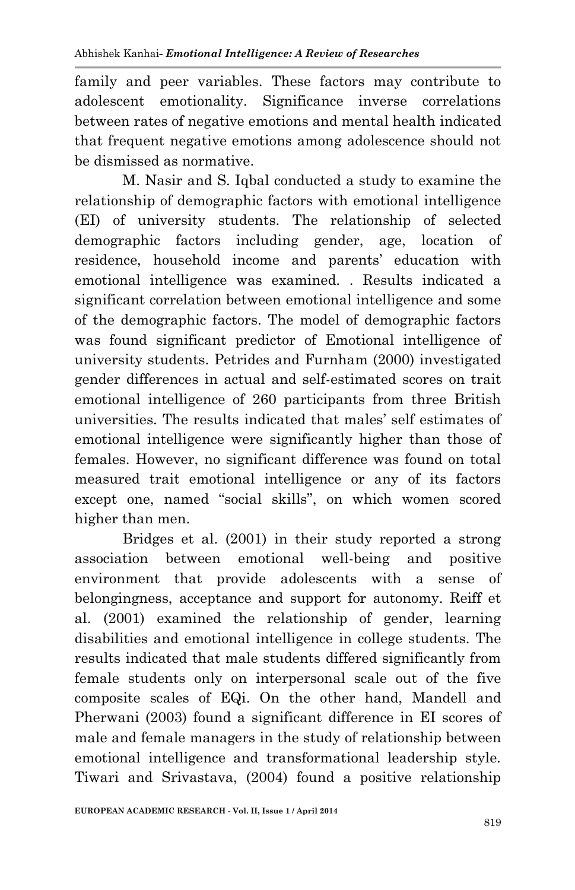family and peer variables. These factors may contribute to adolescent emotionality. Significance inverse correlations between rates of negative emotions and mental health indicated that frequent negative emotions among adolescence should not be dismissed as normative.

 M. Nasir and S. Iqbal conducted a study to examine the relationship of demographic factors with emotional intelligence (EI) of university students. The relationship of selected demographic factors including gender, age, location of residence, household income and parents' education with emotional intelligence was examined. . Results indicated a significant correlation between emotional intelligence and some of the demographic factors. The model of demographic factors was found significant predictor of Emotional intelligence of university students. Petrides and Furnham (2000) investigated gender differences in actual and self-estimated scores on trait emotional intelligence of 260 participants from three British universities. The results indicated that males' self estimates of emotional intelligence were significantly higher than those of females. However, no significant difference was found on total measured trait emotional intelligence or any of its factors except one, named "social skills", on which women scored higher than men.

 Bridges et al. (2001) in their study reported a strong association between emotional well-being and positive environment that provide adolescents with a sense of belongingness, acceptance and support for autonomy. Reiff et al. (2001) examined the relationship of gender, learning disabilities and emotional intelligence in college students. The results indicated that male students differed significantly from female students only on interpersonal scale out of the five composite scales of EQi. On the other hand, Mandell and Pherwani (2003) found a significant difference in EI scores of male and female managers in the study of relationship between emotional intelligence and transformational leadership style. Tiwari and Srivastava, (2004) found a positive relationship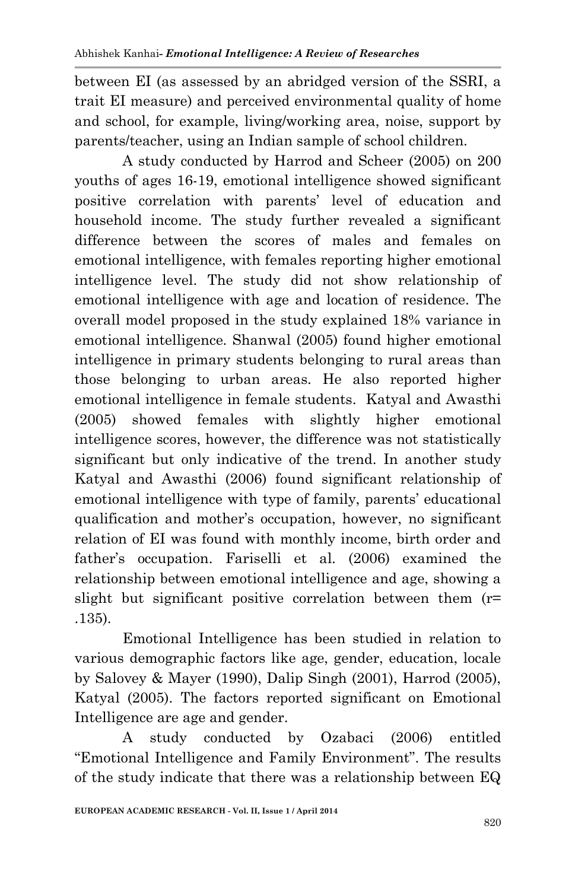between EI (as assessed by an abridged version of the SSRI, a trait EI measure) and perceived environmental quality of home and school, for example, living/working area, noise, support by parents/teacher, using an Indian sample of school children.

 A study conducted by Harrod and Scheer (2005) on 200 youths of ages 16-19, emotional intelligence showed significant positive correlation with parents' level of education and household income. The study further revealed a significant difference between the scores of males and females on emotional intelligence, with females reporting higher emotional intelligence level. The study did not show relationship of emotional intelligence with age and location of residence. The overall model proposed in the study explained 18% variance in emotional intelligence. Shanwal (2005) found higher emotional intelligence in primary students belonging to rural areas than those belonging to urban areas. He also reported higher emotional intelligence in female students. Katyal and Awasthi (2005) showed females with slightly higher emotional intelligence scores, however, the difference was not statistically significant but only indicative of the trend. In another study Katyal and Awasthi (2006) found significant relationship of emotional intelligence with type of family, parents' educational qualification and mother's occupation, however, no significant relation of EI was found with monthly income, birth order and father's occupation. Fariselli et al. (2006) examined the relationship between emotional intelligence and age, showing a slight but significant positive correlation between them (r= .135).

 Emotional Intelligence has been studied in relation to various demographic factors like age, gender, education, locale by Salovey & Mayer (1990), Dalip Singh (2001), Harrod (2005), Katyal (2005). The factors reported significant on Emotional Intelligence are age and gender.

 A study conducted by Ozabaci (2006) entitled "Emotional Intelligence and Family Environment". The results of the study indicate that there was a relationship between EQ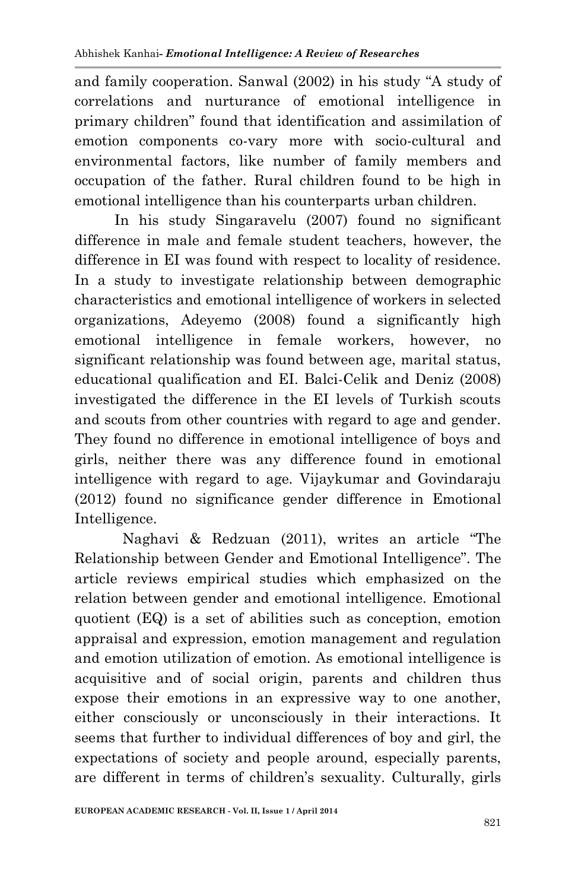and family cooperation. Sanwal (2002) in his study "A study of correlations and nurturance of emotional intelligence in primary children" found that identification and assimilation of emotion components co-vary more with socio-cultural and environmental factors, like number of family members and occupation of the father. Rural children found to be high in emotional intelligence than his counterparts urban children.

 In his study Singaravelu (2007) found no significant difference in male and female student teachers, however, the difference in EI was found with respect to locality of residence. In a study to investigate relationship between demographic characteristics and emotional intelligence of workers in selected organizations, Adeyemo (2008) found a significantly high emotional intelligence in female workers, however, no significant relationship was found between age, marital status, educational qualification and EI. Balci-Celik and Deniz (2008) investigated the difference in the EI levels of Turkish scouts and scouts from other countries with regard to age and gender. They found no difference in emotional intelligence of boys and girls, neither there was any difference found in emotional intelligence with regard to age. Vijaykumar and Govindaraju (2012) found no significance gender difference in Emotional Intelligence.

 Naghavi & Redzuan (2011), writes an article "The Relationship between Gender and Emotional Intelligence". The article reviews empirical studies which emphasized on the relation between gender and emotional intelligence. Emotional quotient (EQ) is a set of abilities such as conception, emotion appraisal and expression, emotion management and regulation and emotion utilization of emotion. As emotional intelligence is acquisitive and of social origin, parents and children thus expose their emotions in an expressive way to one another, either consciously or unconsciously in their interactions. It seems that further to individual differences of boy and girl, the expectations of society and people around, especially parents, are different in terms of children's sexuality. Culturally, girls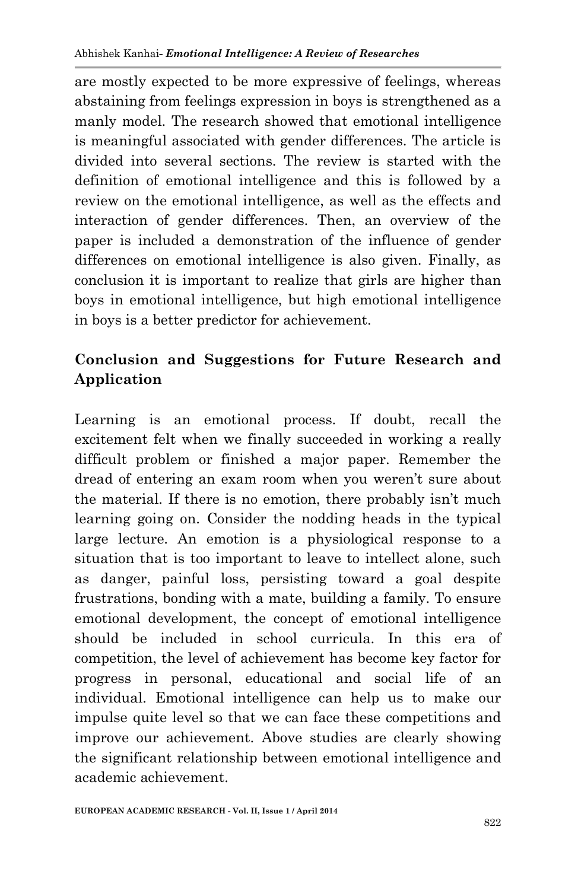are mostly expected to be more expressive of feelings, whereas abstaining from feelings expression in boys is strengthened as a manly model. The research showed that emotional intelligence is meaningful associated with gender differences. The article is divided into several sections. The review is started with the definition of emotional intelligence and this is followed by a review on the emotional intelligence, as well as the effects and interaction of gender differences. Then, an overview of the paper is included a demonstration of the influence of gender differences on emotional intelligence is also given. Finally, as conclusion it is important to realize that girls are higher than boys in emotional intelligence, but high emotional intelligence in boys is a better predictor for achievement.

# **Conclusion and Suggestions for Future Research and Application**

Learning is an emotional process. If doubt, recall the excitement felt when we finally succeeded in working a really difficult problem or finished a major paper. Remember the dread of entering an exam room when you weren't sure about the material. If there is no emotion, there probably isn't much learning going on. Consider the nodding heads in the typical large lecture. An emotion is a physiological response to a situation that is too important to leave to intellect alone, such as danger, painful loss, persisting toward a goal despite frustrations, bonding with a mate, building a family. To ensure emotional development, the concept of emotional intelligence should be included in school curricula. In this era of competition, the level of achievement has become key factor for progress in personal, educational and social life of an individual. Emotional intelligence can help us to make our impulse quite level so that we can face these competitions and improve our achievement. Above studies are clearly showing the significant relationship between emotional intelligence and academic achievement.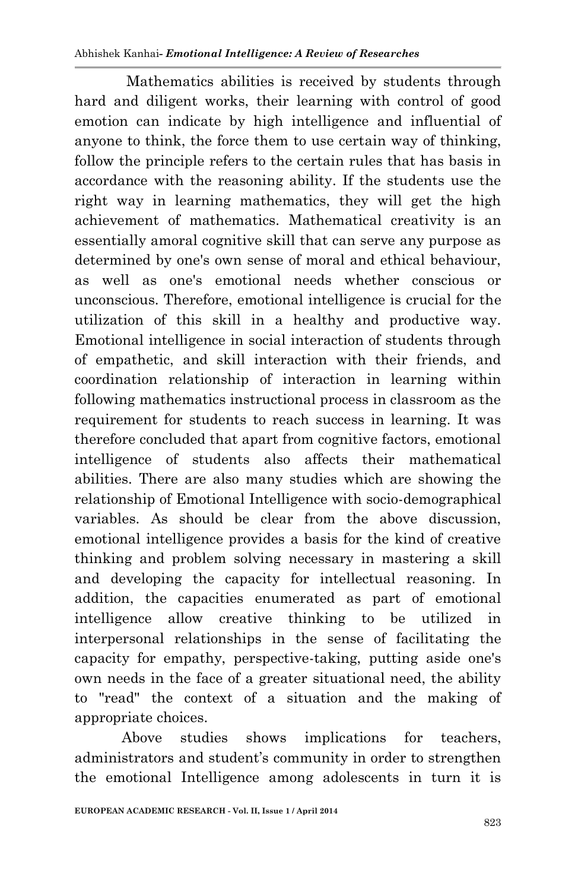Mathematics abilities is received by students through hard and diligent works, their learning with control of good emotion can indicate by high intelligence and influential of anyone to think, the force them to use certain way of thinking, follow the principle refers to the certain rules that has basis in accordance with the reasoning ability. If the students use the right way in learning mathematics, they will get the high achievement of mathematics. Mathematical creativity is an essentially amoral cognitive skill that can serve any purpose as determined by one's own sense of moral and ethical behaviour, as well as one's emotional needs whether conscious or unconscious. Therefore, emotional intelligence is crucial for the utilization of this skill in a healthy and productive way. Emotional intelligence in social interaction of students through of empathetic, and skill interaction with their friends, and coordination relationship of interaction in learning within following mathematics instructional process in classroom as the requirement for students to reach success in learning. It was therefore concluded that apart from cognitive factors, emotional intelligence of students also affects their mathematical abilities. There are also many studies which are showing the relationship of Emotional Intelligence with socio-demographical variables. As should be clear from the above discussion, emotional intelligence provides a basis for the kind of creative thinking and problem solving necessary in mastering a skill and developing the capacity for intellectual reasoning. In addition, the capacities enumerated as part of emotional intelligence allow creative thinking to be utilized in interpersonal relationships in the sense of facilitating the capacity for empathy, perspective-taking, putting aside one's own needs in the face of a greater situational need, the ability to "read" the context of a situation and the making of appropriate choices.

Above studies shows implications for teachers, administrators and student's community in order to strengthen the emotional Intelligence among adolescents in turn it is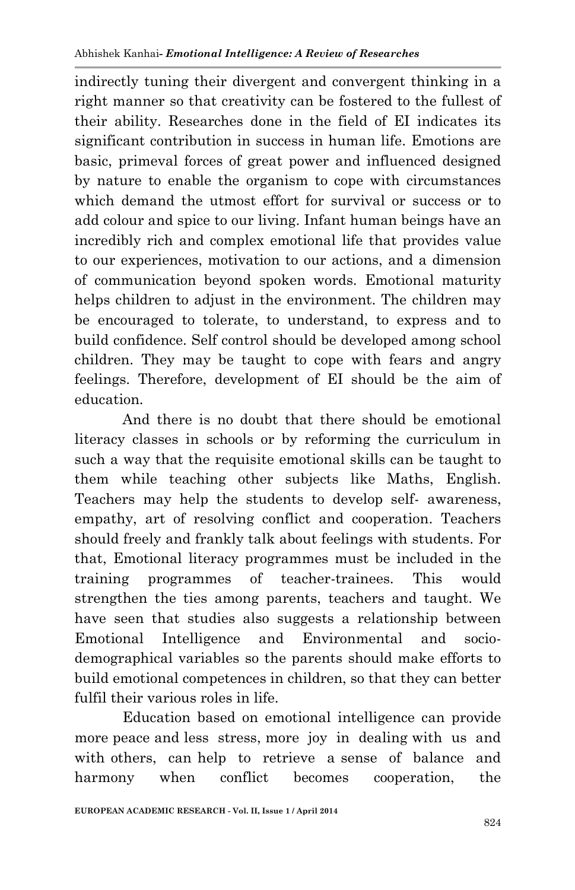indirectly tuning their divergent and convergent thinking in a right manner so that creativity can be fostered to the fullest of their ability. Researches done in the field of EI indicates its significant contribution in success in human life. Emotions are basic, primeval forces of great power and influenced designed by nature to enable the organism to cope with circumstances which demand the utmost effort for survival or success or to add colour and spice to our living. Infant human beings have an incredibly rich and complex emotional life that provides value to our experiences, motivation to our actions, and a dimension of communication beyond spoken words. Emotional maturity helps children to adjust in the environment. The children may be encouraged to tolerate, to understand, to express and to build confidence. Self control should be developed among school children. They may be taught to cope with fears and angry feelings. Therefore, development of EI should be the aim of education.

 And there is no doubt that there should be emotional literacy classes in schools or by reforming the curriculum in such a way that the requisite emotional skills can be taught to them while teaching other subjects like Maths, English. Teachers may help the students to develop self- awareness, empathy, art of resolving conflict and cooperation. Teachers should freely and frankly talk about feelings with students. For that, Emotional literacy programmes must be included in the training programmes of teacher-trainees. This would strengthen the ties among parents, teachers and taught. We have seen that studies also suggests a relationship between Emotional Intelligence and Environmental and sociodemographical variables so the parents should make efforts to build emotional competences in children, so that they can better fulfil their various roles in life.

 Education based on emotional intelligence can provide more peace and less stress, more joy in dealing with us and with others, can help to retrieve a sense of balance and harmony when conflict becomes cooperation, the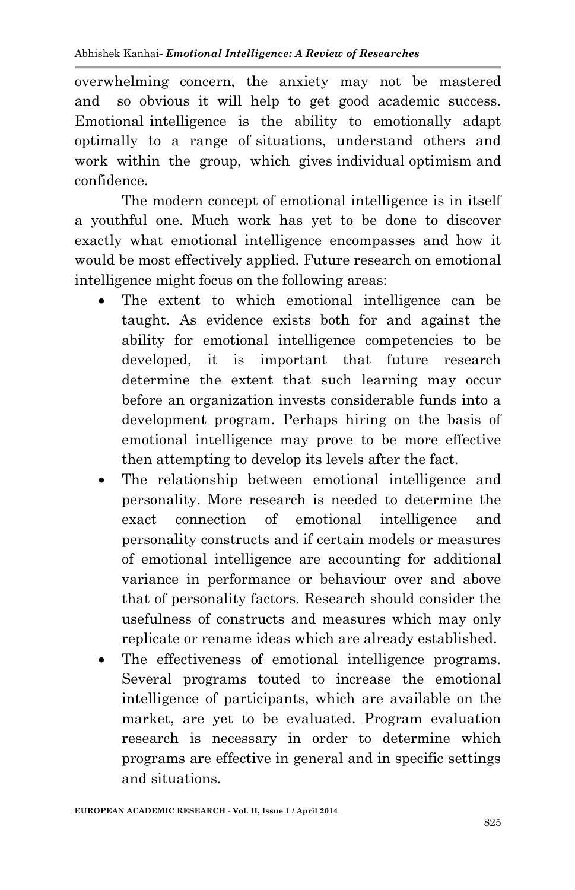overwhelming concern, the anxiety may not be mastered and so obvious it will help to get good academic success. Emotional intelligence is the ability to emotionally adapt optimally to a range of situations, understand others and work within the group, which gives individual optimism and confidence.

The modern concept of emotional intelligence is in itself a youthful one. Much work has yet to be done to discover exactly what emotional intelligence encompasses and how it would be most effectively applied. Future research on emotional intelligence might focus on the following areas:

- The extent to which emotional intelligence can be taught. As evidence exists both for and against the ability for emotional intelligence competencies to be developed, it is important that future research determine the extent that such learning may occur before an organization invests considerable funds into a development program. Perhaps hiring on the basis of emotional intelligence may prove to be more effective then attempting to develop its levels after the fact.
- The relationship between emotional intelligence and personality. More research is needed to determine the exact connection of emotional intelligence and personality constructs and if certain models or measures of emotional intelligence are accounting for additional variance in performance or behaviour over and above that of personality factors. Research should consider the usefulness of constructs and measures which may only replicate or rename ideas which are already established.
- The effectiveness of emotional intelligence programs. Several programs touted to increase the emotional intelligence of participants, which are available on the market, are yet to be evaluated. Program evaluation research is necessary in order to determine which programs are effective in general and in specific settings and situations.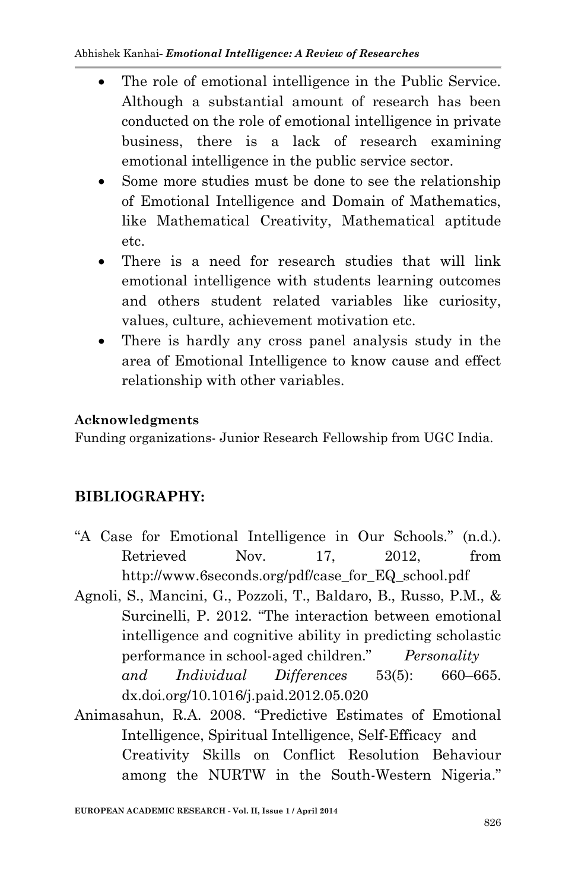- The role of emotional intelligence in the Public Service. Although a substantial amount of research has been conducted on the role of emotional intelligence in private business, there is a lack of research examining emotional intelligence in the public service sector.
- Some more studies must be done to see the relationship of Emotional Intelligence and Domain of Mathematics, like Mathematical Creativity, Mathematical aptitude etc.
- There is a need for research studies that will link emotional intelligence with students learning outcomes and others student related variables like curiosity, values, culture, achievement motivation etc.
- There is hardly any cross panel analysis study in the area of Emotional Intelligence to know cause and effect relationship with other variables.

#### **Acknowledgments**

Funding organizations- Junior Research Fellowship from UGC India.

#### **BIBLIOGRAPHY:**

- "A Case for Emotional Intelligence in Our Schools." (n.d.). Retrieved Nov. 17, 2012, from http://www.6seconds.org/pdf/case\_for\_EQ\_school.pdf
- Agnoli, S., Mancini, G., Pozzoli, T., Baldaro, B., Russo, P.M., & Surcinelli, P. 2012. "The interaction between emotional intelligence and cognitive ability in predicting scholastic performance in school-aged children." *Personality and Individual Differences* 53(5): 660–665. dx.doi.org/10.1016/j.paid.2012.05.020
- Animasahun, R.A. 2008. "Predictive Estimates of Emotional Intelligence, Spiritual Intelligence, Self-Efficacy and Creativity Skills on Conflict Resolution Behaviour among the NURTW in the South-Western Nigeria."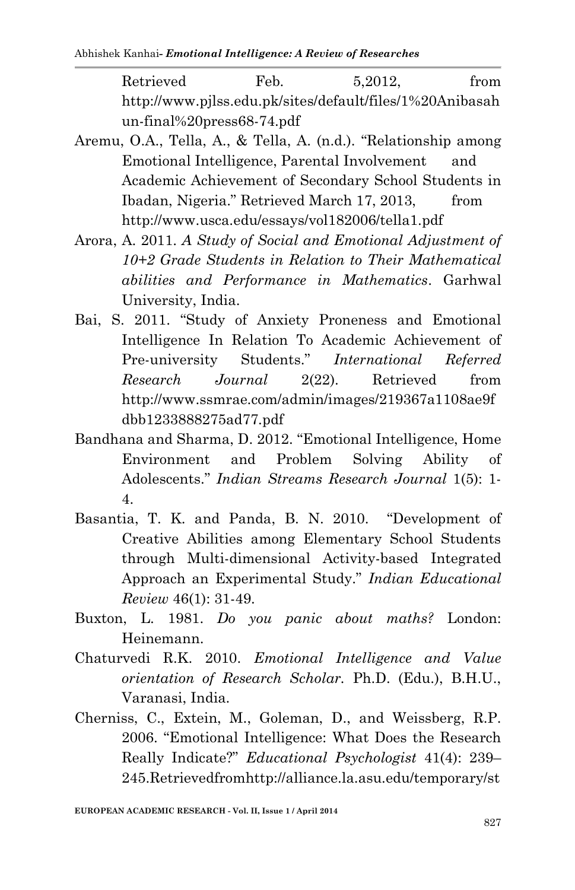Retrieved Feb. 5,2012, from http://www.pjlss.edu.pk/sites/default/files/1%20Anibasah un-final%20press68-74.pdf

- Aremu, O.A., Tella, A., & Tella, A. (n.d.). "Relationship among Emotional Intelligence, Parental Involvement and Academic Achievement of Secondary School Students in Ibadan, Nigeria." Retrieved March 17, 2013, from http://www.usca.edu/essays/vol182006/tella1.pdf
- Arora, A. 2011. *A Study of Social and Emotional Adjustment of 10+2 Grade Students in Relation to Their Mathematical abilities and Performance in Mathematics*. Garhwal University, India.
- Bai, S. 2011. "Study of Anxiety Proneness and Emotional Intelligence In Relation To Academic Achievement of Pre-university Students." *International Referred Research Journal* 2(22). Retrieved from http://www.ssmrae.com/admin/images/219367a1108ae9f dbb1233888275ad77.pdf
- Bandhana and Sharma, D. 2012. "Emotional Intelligence, Home Environment and Problem Solving Ability of Adolescents." *Indian Streams Research Journal* 1(5): 1- 4.
- Basantia, T. K. and Panda, B. N. 2010. "Development of Creative Abilities among Elementary School Students through Multi-dimensional Activity-based Integrated Approach an Experimental Study." *Indian Educational Review* 46(1): 31-49.
- Buxton, L. 1981. *Do you panic about maths?* London: Heinemann.
- Chaturvedi R.K. 2010. *Emotional Intelligence and Value orientation of Research Scholar.* Ph.D. (Edu.), B.H.U., Varanasi, India.
- Cherniss, C., Extein, M., Goleman, D., and Weissberg, R.P. 2006. "Emotional Intelligence: What Does the Research Really Indicate?" *Educational Psychologist* 41(4): 239– 245.Retrievedfromhttp://alliance.la.asu.edu/temporary/st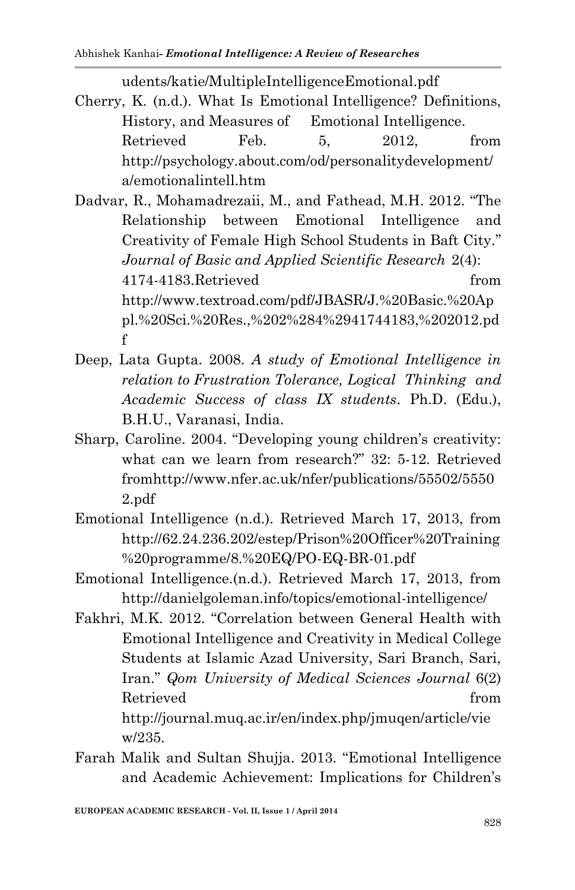udents/katie/MultipleIntelligenceEmotional.pdf

- Cherry, K. (n.d.). What Is Emotional Intelligence? Definitions, History, and Measures of Emotional Intelligence. Retrieved Feb. 5, 2012, from http://psychology.about.com/od/personalitydevelopment/ a/emotionalintell.htm
- Dadvar, R., Mohamadrezaii, M., and Fathead, M.H. 2012. "The Relationship between Emotional Intelligence and Creativity of Female High School Students in Baft City." *Journal of Basic and Applied Scientific Research* 2(4): 4174-4183.Retrieved from http://www.textroad.com/pdf/JBASR/J.%20Basic.%20Ap pl.%20Sci.%20Res.,%202%284%2941744183,%202012.pd f
- Deep, Lata Gupta. 2008. *A study of Emotional Intelligence in relation to Frustration Tolerance, Logical Thinking and Academic Success of class IX students*. Ph.D. (Edu.), B.H.U., Varanasi, India.
- Sharp, Caroline. 2004. "Developing young children's creativity: what can we learn from research?" 32: 5-12. Retrieved fromhttp://www.nfer.ac.uk/nfer/publications/55502/5550 2.pdf
- Emotional Intelligence (n.d.). Retrieved March 17, 2013, from http://62.24.236.202/estep/Prison%20Officer%20Training %20programme/8.%20EQ/PO-EQ-BR-01.pdf
- Emotional Intelligence.(n.d.). Retrieved March 17, 2013, from http://danielgoleman.info/topics/emotional-intelligence/
- Fakhri, M.K. 2012. "Correlation between General Health with Emotional Intelligence and Creativity in Medical College Students at Islamic Azad University, Sari Branch, Sari, Iran." *Qom University of Medical Sciences Journal* 6(2) Retrieved from the set of  $\mathbb{R}^n$  from the set of  $\mathbb{R}^n$  from the set of  $\mathbb{R}^n$ http://journal.muq.ac.ir/en/index.php/jmuqen/article/vie w/235.
- Farah Malik and Sultan Shujja. 2013. "Emotional Intelligence and Academic Achievement: Implications for Children's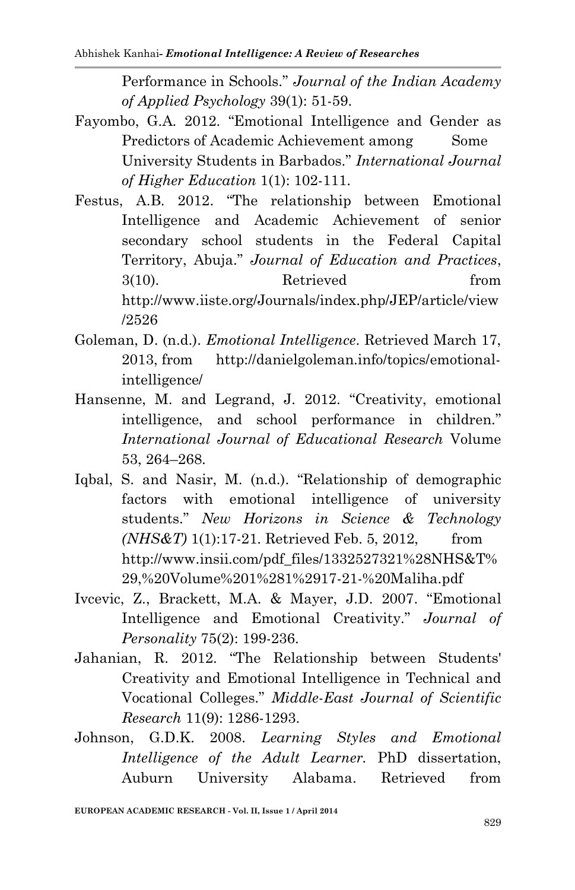Performance in Schools." *Journal of the Indian Academy of Applied Psychology* 39(1): 51-59.

- Fayombo, G.A. 2012. "Emotional Intelligence and Gender as Predictors of Academic Achievement among Some University Students in Barbados." *International Journal of Higher Education* 1(1): 102-111.
- Festus, A.B. 2012. "The relationship between Emotional Intelligence and Academic Achievement of senior secondary school students in the Federal Capital Territory, Abuja." *Journal of Education and Practices*, 3(10). Retrieved from http://www.iiste.org/Journals/index.php/JEP/article/view /2526
- Goleman, D. (n.d.). *Emotional Intelligence*. Retrieved March 17, 2013, from http://danielgoleman.info/topics/emotionalintelligence/
- Hansenne, M. and Legrand, J. 2012. "Creativity, emotional intelligence, and school performance in children." *International Journal of Educational Research* Volume 53, 264–268.
- Iqbal, S. and Nasir, M. (n.d.). "Relationship of demographic factors with emotional intelligence of university students." *New Horizons in Science & Technology (NHS&T)* 1(1):17-21. Retrieved Feb. 5, 2012, from http://www.insii.com/pdf\_files/1332527321%28NHS&T% 29,%20Volume%201%281%2917-21-%20Maliha.pdf
- Ivcevic, Z., Brackett, M.A. & Mayer, J.D. 2007. "Emotional Intelligence and Emotional Creativity." *Journal of Personality* 75(2): 199-236.
- Jahanian, R. 2012. "The Relationship between Students' Creativity and Emotional Intelligence in Technical and Vocational Colleges." *Middle-East Journal of Scientific Research* 11(9): 1286-1293.
- Johnson, G.D.K. 2008. *Learning Styles and Emotional Intelligence of the Adult Learner.* PhD dissertation, Auburn University Alabama. Retrieved from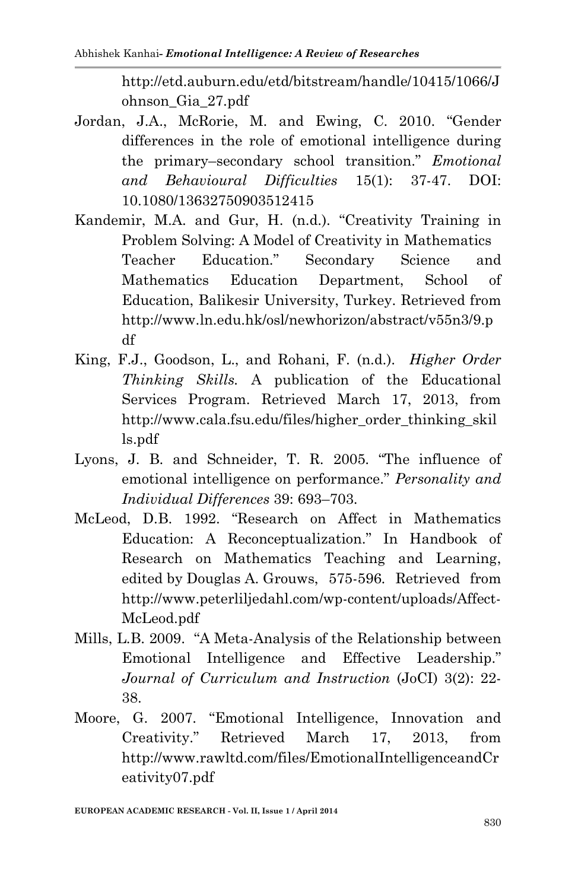http://etd.auburn.edu/etd/bitstream/handle/10415/1066/J ohnson\_Gia\_27.pdf

- Jordan, J.A., McRorie, M. and Ewing, C. 2010. "Gender differences in the role of emotional intelligence during the primary–secondary school transition." *Emotional and Behavioural Difficulties* 15(1): 37-47. DOI: 10.1080/13632750903512415
- Kandemir, M.A. and Gur, H. (n.d.). "Creativity Training in Problem Solving: A Model of Creativity in Mathematics Teacher Education." Secondary Science and Mathematics Education Department, School of Education, Balikesir University, Turkey. Retrieved from http://www.ln.edu.hk/osl/newhorizon/abstract/v55n3/9.p df
- King, F.J., Goodson, L., and Rohani, F. (n.d.). *Higher Order Thinking Skills.* A publication of the Educational Services Program. Retrieved March 17, 2013, from http://www.cala.fsu.edu/files/higher\_order\_thinking\_skil ls.pdf
- Lyons, J. B. and Schneider, T. R. 2005. "The influence of emotional intelligence on performance." *Personality and Individual Differences* 39: 693–703.
- McLeod, D.B. 1992. "Research on Affect in Mathematics Education: A Reconceptualization." In Handbook of Research on Mathematics Teaching and Learning, edited by Douglas A. Grouws, 575-596. Retrieved from http://www.peterliljedahl.com/wp-content/uploads/Affect-McLeod.pdf
- Mills, L.B. 2009. "A Meta-Analysis of the Relationship between Emotional Intelligence and Effective Leadership." *Journal of Curriculum and Instruction* (JoCI) 3(2): 22- 38.
- Moore, G. 2007. "Emotional Intelligence, Innovation and Creativity." Retrieved March 17, 2013, from http://www.rawltd.com/files/EmotionalIntelligenceandCr eativity07.pdf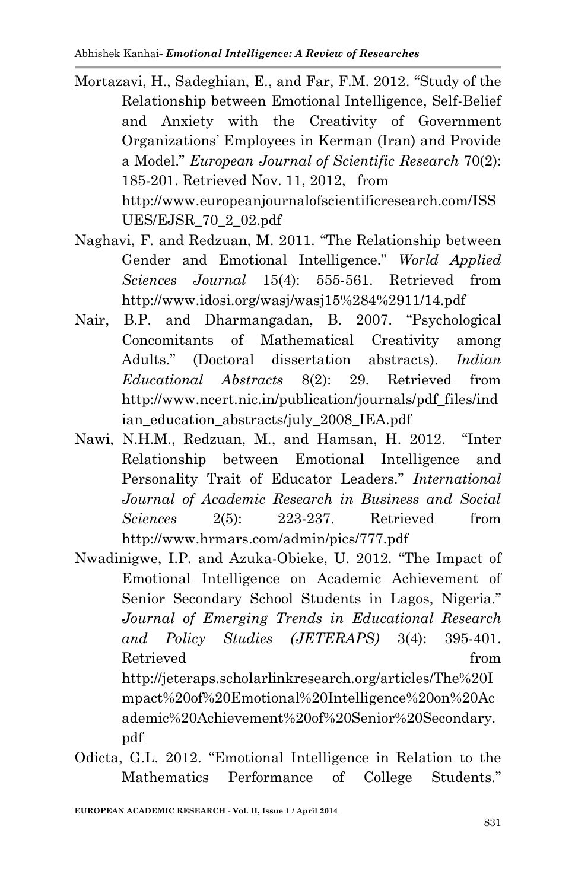Mortazavi, H., Sadeghian, E., and Far, F.M. 2012. "Study of the Relationship between Emotional Intelligence, Self-Belief and Anxiety with the Creativity of Government Organizations' Employees in Kerman (Iran) and Provide a Model." *European Journal of Scientific Research* 70(2): 185-201. Retrieved Nov. 11, 2012, from http://www.europeanjournalofscientificresearch.com/ISS

UES/EJSR\_70\_2\_02.pdf

- Naghavi, F. and Redzuan, M. 2011. "The Relationship between Gender and Emotional Intelligence." *World Applied Sciences Journal* 15(4): 555-561. Retrieved from http://www.idosi.org/wasj/wasj15%284%2911/14.pdf
- Nair, B.P. and Dharmangadan, B. 2007. "Psychological Concomitants of Mathematical Creativity among Adults." (Doctoral dissertation abstracts). *Indian Educational Abstracts* 8(2): 29. Retrieved from http://www.ncert.nic.in/publication/journals/pdf\_files/ind ian\_education\_abstracts/july\_2008\_IEA.pdf
- Nawi, N.H.M., Redzuan, M., and Hamsan, H. 2012. "Inter Relationship between Emotional Intelligence and Personality Trait of Educator Leaders." *International Journal of Academic Research in Business and Social Sciences* 2(5): 223-237. Retrieved from http://www.hrmars.com/admin/pics/777.pdf

Nwadinigwe, I.P. and Azuka-Obieke, U. 2012. "The Impact of Emotional Intelligence on Academic Achievement of Senior Secondary School Students in Lagos, Nigeria." *Journal of Emerging Trends in Educational Research and Policy Studies (JETERAPS)* 3(4): 395-401. Retrieved from the set of  $\mathbb{R}^n$  from the set of  $\mathbb{R}^n$  from the set of  $\mathbb{R}^n$ http://jeteraps.scholarlinkresearch.org/articles/The%20I mpact%20of%20Emotional%20Intelligence%20on%20Ac ademic%20Achievement%20of%20Senior%20Secondary.

pdf

Odicta, G.L. 2012. "Emotional Intelligence in Relation to the Mathematics Performance of College Students."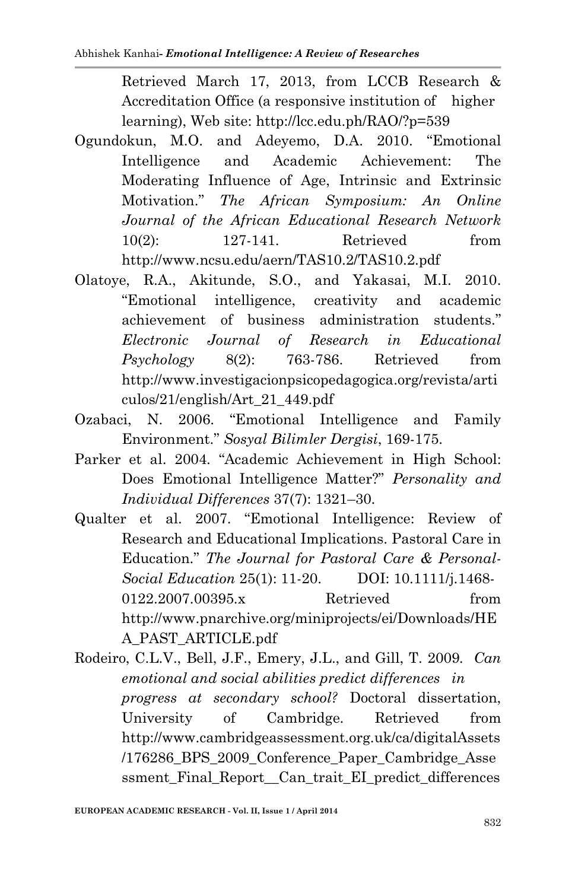Retrieved March 17, 2013, from LCCB Research & Accreditation Office (a responsive institution of higher learning), Web site: http://lcc.edu.ph/RAO/?p=539

- Ogundokun, M.O. and Adeyemo, D.A. 2010. "Emotional Intelligence and Academic Achievement: The Moderating Influence of Age, Intrinsic and Extrinsic Motivation." *The African Symposium: An Online Journal of the African Educational Research Network* 10(2): 127-141. Retrieved from http://www.ncsu.edu/aern/TAS10.2/TAS10.2.pdf
- Olatoye, R.A., Akitunde, S.O., and Yakasai, M.I. 2010. "Emotional intelligence, creativity and academic achievement of business administration students." *Electronic Journal of Research in Educational Psychology* 8(2): 763-786. Retrieved from http://www.investigacionpsicopedagogica.org/revista/arti culos/21/english/Art\_21\_449.pdf
- Ozabaci, N. 2006. "Emotional Intelligence and Family Environment." *Sosyal Bilimler Dergisi*, 169-175.
- Parker et al. 2004. "Academic Achievement in High School: Does Emotional Intelligence Matter?" *Personality and Individual Differences* 37(7): 1321–30.
- Qualter et al. 2007. "Emotional Intelligence: Review of Research and Educational Implications. Pastoral Care in Education." *The Journal for Pastoral Care & Personal-Social Education* 25(1): 11-20. DOI: 10.1111/j.1468- 0122.2007.00395.x Retrieved from http://www.pnarchive.org/miniprojects/ei/Downloads/HE A\_PAST\_ARTICLE.pdf
- Rodeiro, C.L.V., Bell, J.F., Emery, J.L., and Gill, T. 2009*. Can emotional and social abilities predict differences in progress at secondary school?* Doctoral dissertation, University of Cambridge. Retrieved from http://www.cambridgeassessment.org.uk/ca/digitalAssets /176286\_BPS\_2009\_Conference\_Paper\_Cambridge\_Asse ssment Final Report Can trait EI predict differences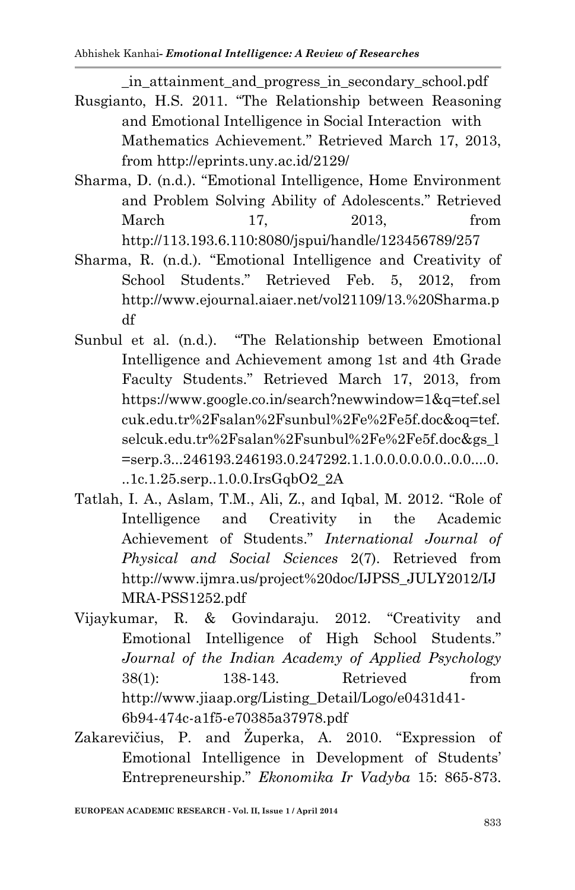\_in\_attainment\_and\_progress\_in\_secondary\_school.pdf

- Rusgianto, H.S. 2011. "The Relationship between Reasoning and Emotional Intelligence in Social Interaction with Mathematics Achievement." Retrieved March 17, 2013, from http://eprints.uny.ac.id/2129/
- Sharma, D. (n.d.). "Emotional Intelligence, Home Environment and Problem Solving Ability of Adolescents." Retrieved March 17, 2013, from http://113.193.6.110:8080/jspui/handle/123456789/257
- Sharma, R. (n.d.). "Emotional Intelligence and Creativity of School Students." Retrieved Feb. 5, 2012, from http://www.ejournal.aiaer.net/vol21109/13.%20Sharma.p df
- Sunbul et al. (n.d.). "The Relationship between Emotional Intelligence and Achievement among 1st and 4th Grade Faculty Students." Retrieved March 17, 2013, from https://www.google.co.in/search?newwindow=1&q=tef.sel cuk.edu.tr%2Fsalan%2Fsunbul%2Fe%2Fe5f.doc&oq=tef. selcuk.edu.tr%2Fsalan%2Fsunbul%2Fe%2Fe5f.doc&gs\_l =serp.3...246193.246193.0.247292.1.1.0.0.0.0.0.0..0.0....0.  $1.1c.1.25$ .serp $0.1.0c.1$ rsGqbO2 $2A$
- Tatlah, I. A., Aslam, T.M., Ali, Z., and Iqbal, M. 2012. "Role of Intelligence and Creativity in the Academic Achievement of Students." *International Journal of Physical and Social Sciences* 2(7). Retrieved from http://www.ijmra.us/project%20doc/IJPSS\_JULY2012/IJ MRA-PSS1252.pdf
- Vijaykumar, R. & Govindaraju. 2012. "Creativity and Emotional Intelligence of High School Students." *Journal of the Indian Academy of Applied Psychology* 38(1): 138-143. Retrieved from http://www.jiaap.org/Listing\_Detail/Logo/e0431d41- 6b94-474c-a1f5-e70385a37978.pdf
- Zakarevičius, P. and Župerka, A. 2010. "Expression of Emotional Intelligence in Development of Students' Entrepreneurship." *Ekonomika Ir Vadyba* 15: 865-873.